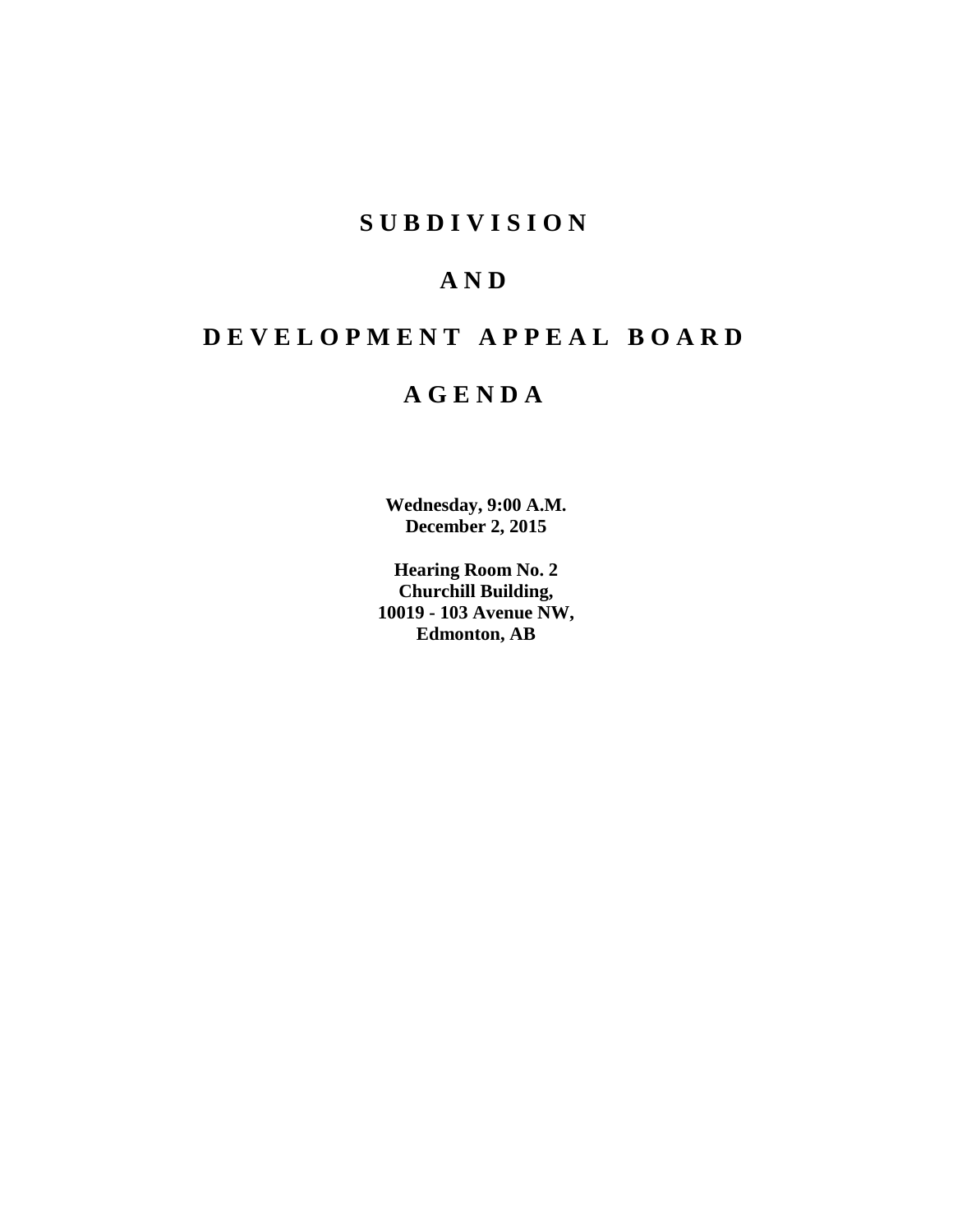### **S U B D I V I S I O N**

## **A N D**

## **D E V E L O P M E N T A P P E A L B O A R D**

### **A G E N D A**

**Wednesday, 9:00 A.M. December 2, 2015**

**Hearing Room No. 2 Churchill Building, 10019 - 103 Avenue NW, Edmonton, AB**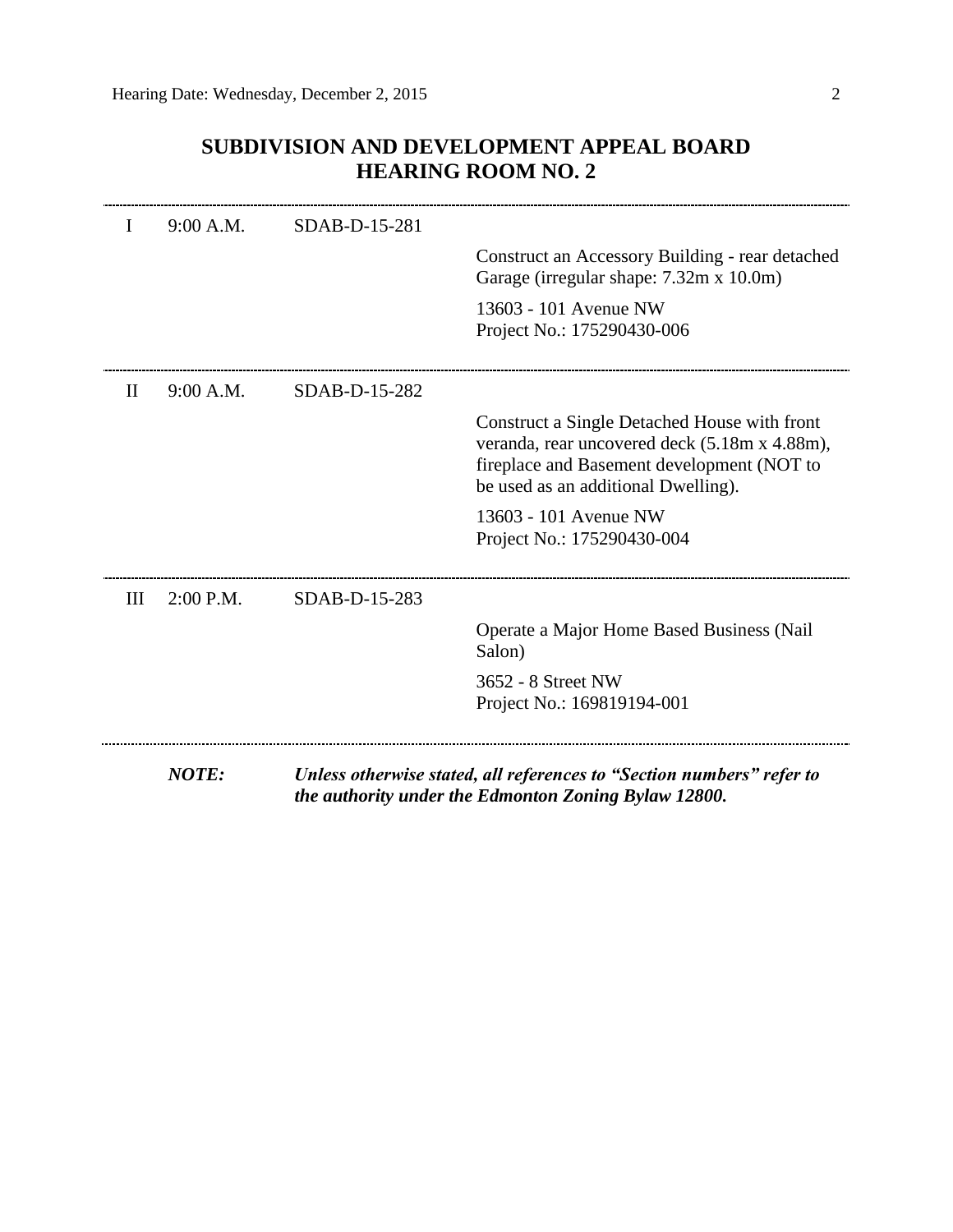### **SUBDIVISION AND DEVELOPMENT APPEAL BOARD HEARING ROOM NO. 2**

|              | <b>NOTE:</b> |               | Unless otherwise stated, all references to "Section numbers" refer to                                                                                                              |
|--------------|--------------|---------------|------------------------------------------------------------------------------------------------------------------------------------------------------------------------------------|
|              |              |               | 3652 - 8 Street NW<br>Project No.: 169819194-001                                                                                                                                   |
|              |              |               | Operate a Major Home Based Business (Nail<br>Salon)                                                                                                                                |
| Ш            | $2:00$ P.M.  | SDAB-D-15-283 |                                                                                                                                                                                    |
|              |              |               | 13603 - 101 Avenue NW<br>Project No.: 175290430-004                                                                                                                                |
|              |              |               | Construct a Single Detached House with front<br>veranda, rear uncovered deck (5.18m x 4.88m),<br>fireplace and Basement development (NOT to<br>be used as an additional Dwelling). |
| $\mathbf{H}$ | 9:00 A.M.    | SDAB-D-15-282 |                                                                                                                                                                                    |
|              |              |               | 13603 - 101 Avenue NW<br>Project No.: 175290430-006                                                                                                                                |
|              |              |               | Construct an Accessory Building - rear detached<br>Garage (irregular shape: 7.32m x 10.0m)                                                                                         |
|              | 9:00 A.M.    | SDAB-D-15-281 |                                                                                                                                                                                    |

*the authority under the Edmonton Zoning Bylaw 12800.*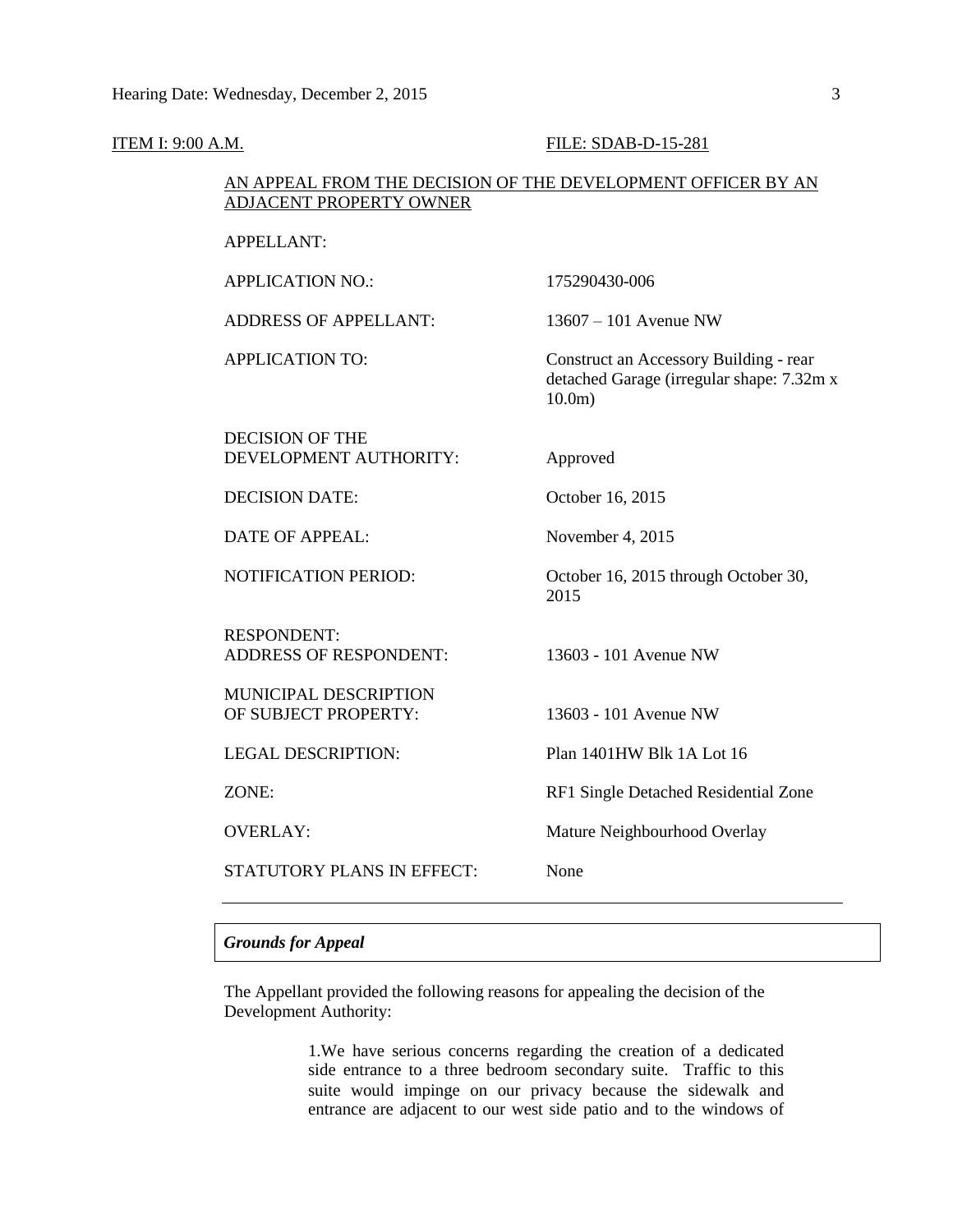| <b>ITEM I: 9:00 A.M.</b> |                                                                                                | FILE: SDAB-D-15-281                                                                              |
|--------------------------|------------------------------------------------------------------------------------------------|--------------------------------------------------------------------------------------------------|
|                          | AN APPEAL FROM THE DECISION OF THE DEVELOPMENT OFFICER BY AN<br><b>ADJACENT PROPERTY OWNER</b> |                                                                                                  |
|                          | APPELLANT:                                                                                     |                                                                                                  |
|                          | <b>APPLICATION NO.:</b>                                                                        | 175290430-006                                                                                    |
|                          | <b>ADDRESS OF APPELLANT:</b>                                                                   | $13607 - 101$ Avenue NW                                                                          |
|                          | <b>APPLICATION TO:</b>                                                                         | Construct an Accessory Building - rear<br>detached Garage (irregular shape: 7.32m x<br>$10.0m$ ) |
|                          | <b>DECISION OF THE</b><br>DEVELOPMENT AUTHORITY:                                               | Approved                                                                                         |
|                          | <b>DECISION DATE:</b>                                                                          | October 16, 2015                                                                                 |
|                          | <b>DATE OF APPEAL:</b>                                                                         | November 4, 2015                                                                                 |
|                          | <b>NOTIFICATION PERIOD:</b>                                                                    | October 16, 2015 through October 30,<br>2015                                                     |
|                          | <b>RESPONDENT:</b><br><b>ADDRESS OF RESPONDENT:</b>                                            | 13603 - 101 Avenue NW                                                                            |
|                          | MUNICIPAL DESCRIPTION<br>OF SUBJECT PROPERTY:                                                  | 13603 - 101 Avenue NW                                                                            |
|                          | <b>LEGAL DESCRIPTION:</b>                                                                      | Plan 1401HW Blk 1A Lot 16                                                                        |
|                          | ZONE:                                                                                          | RF1 Single Detached Residential Zone                                                             |
|                          | <b>OVERLAY:</b>                                                                                | Mature Neighbourhood Overlay                                                                     |
|                          | <b>STATUTORY PLANS IN EFFECT:</b>                                                              | None                                                                                             |
|                          |                                                                                                |                                                                                                  |

### *Grounds for Appeal*

The Appellant provided the following reasons for appealing the decision of the Development Authority:

> 1.We have serious concerns regarding the creation of a dedicated side entrance to a three bedroom secondary suite. Traffic to this suite would impinge on our privacy because the sidewalk and entrance are adjacent to our west side patio and to the windows of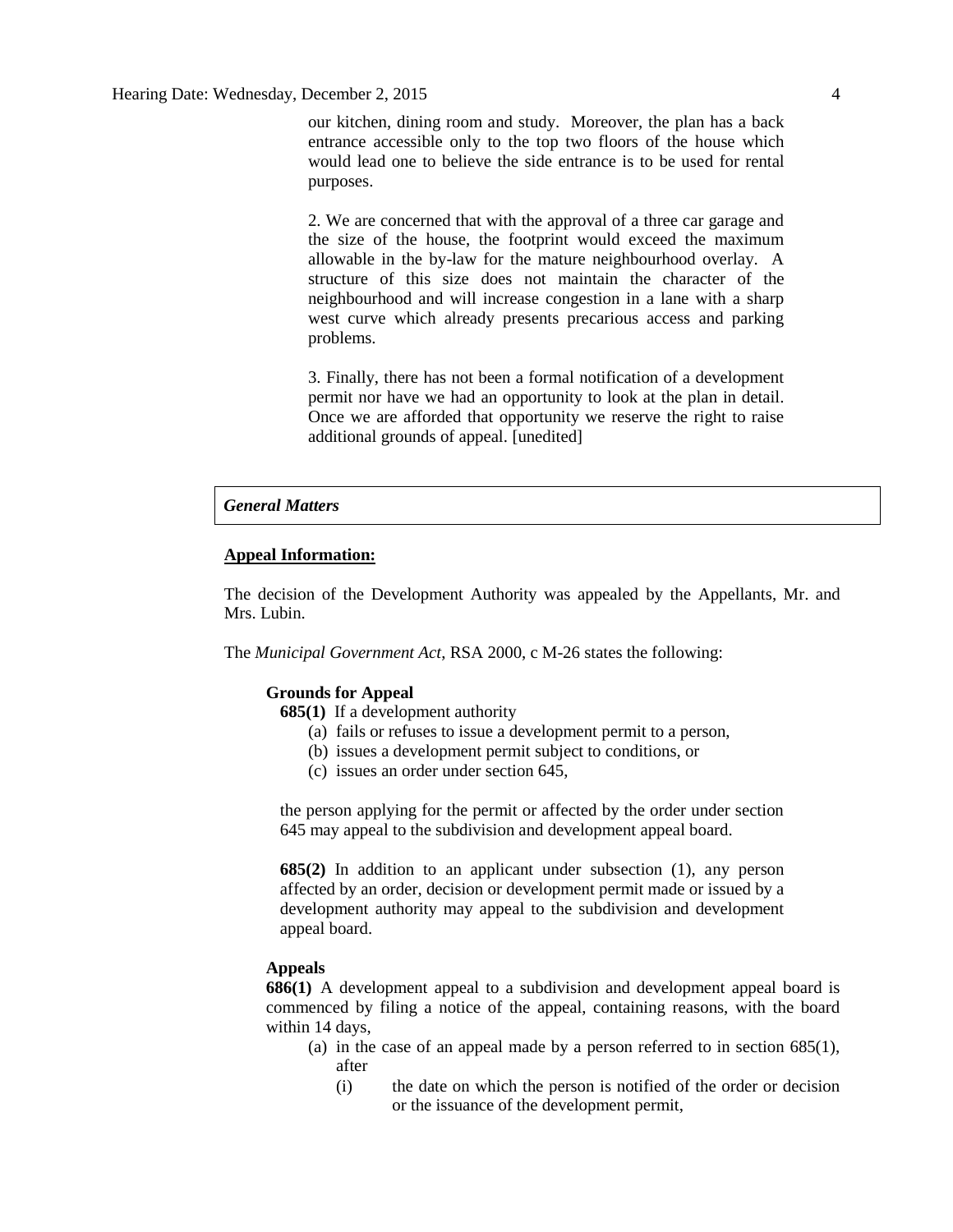our kitchen, dining room and study. Moreover, the plan has a back entrance accessible only to the top two floors of the house which would lead one to believe the side entrance is to be used for rental purposes.

2. We are concerned that with the approval of a three car garage and the size of the house, the footprint would exceed the maximum allowable in the by-law for the mature neighbourhood overlay. A structure of this size does not maintain the character of the neighbourhood and will increase congestion in a lane with a sharp west curve which already presents precarious access and parking problems.

3. Finally, there has not been a formal notification of a development permit nor have we had an opportunity to look at the plan in detail. Once we are afforded that opportunity we reserve the right to raise additional grounds of appeal. [unedited]

#### *General Matters*

#### **Appeal Information:**

The decision of the Development Authority was appealed by the Appellants, Mr. and Mrs. Lubin.

The *Municipal Government Act*, RSA 2000, c M-26 states the following:

#### **Grounds for Appeal**

**685(1)** If a development authority

- (a) fails or refuses to issue a development permit to a person,
- (b) issues a development permit subject to conditions, or
- (c) issues an order under section 645,

the person applying for the permit or affected by the order under section 645 may appeal to the subdivision and development appeal board.

**685(2)** In addition to an applicant under subsection (1), any person affected by an order, decision or development permit made or issued by a development authority may appeal to the subdivision and development appeal board.

#### **Appeals**

**686(1)** A development appeal to a subdivision and development appeal board is commenced by filing a notice of the appeal, containing reasons, with the board within 14 days,

- (a) in the case of an appeal made by a person referred to in section 685(1), after
	- (i) the date on which the person is notified of the order or decision or the issuance of the development permit,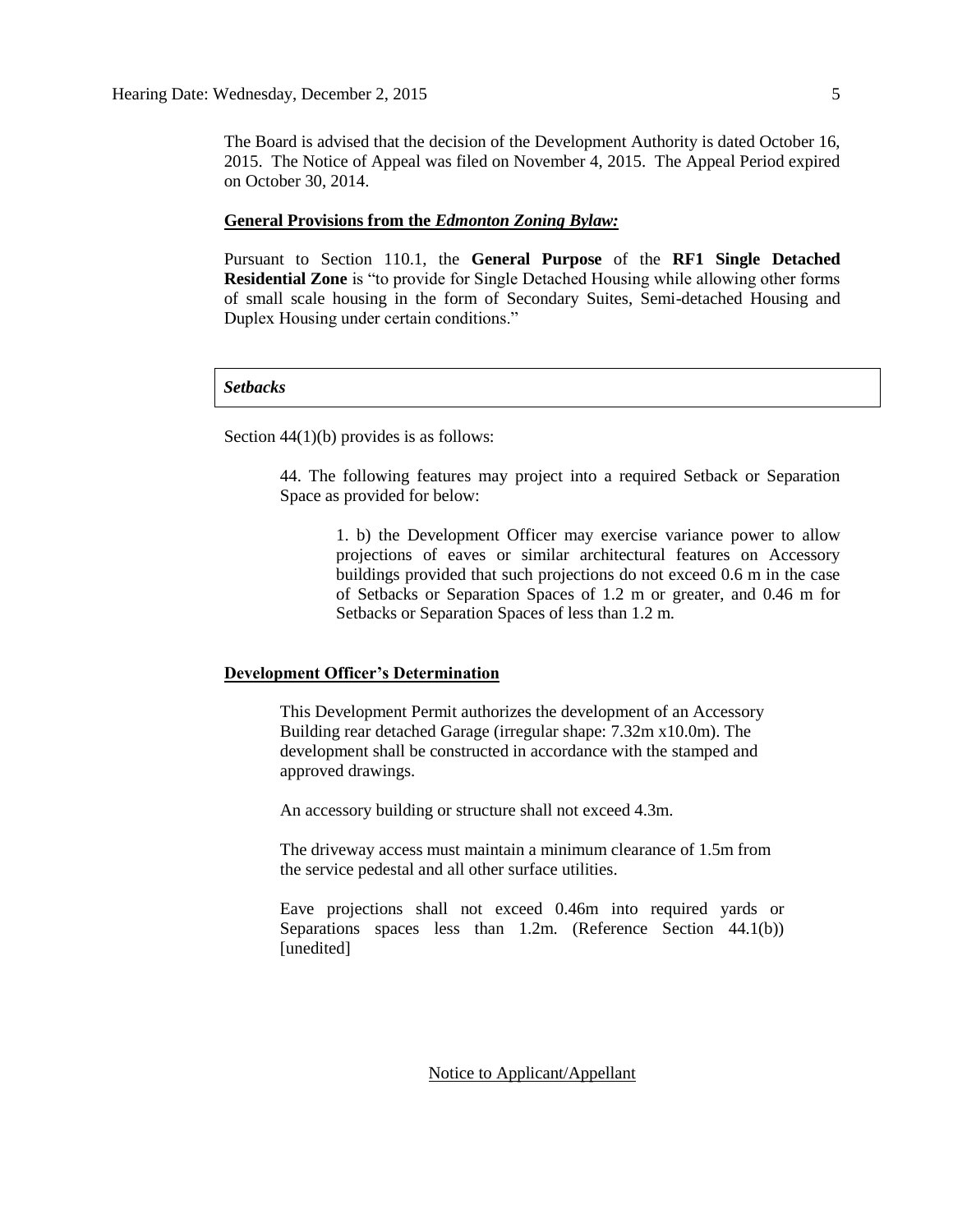The Board is advised that the decision of the Development Authority is dated October 16, 2015. The Notice of Appeal was filed on November 4, 2015. The Appeal Period expired on October 30, 2014.

#### **General Provisions from the** *Edmonton Zoning Bylaw:*

Pursuant to Section 110.1, the **General Purpose** of the **RF1 Single Detached Residential Zone** is "to provide for Single Detached Housing while allowing other forms of small scale housing in the form of Secondary Suites, Semi-detached Housing and Duplex Housing under certain conditions."

#### *Setbacks*

Section 44(1)(b) provides is as follows:

44. The following features may project into a required Setback or Separation Space as provided for below:

1. b) the Development Officer may exercise variance power to allow projections of eaves or similar architectural features on Accessory buildings provided that such projections do not exceed 0.6 m in the case of Setbacks or Separation Spaces of 1.2 m or greater, and 0.46 m for Setbacks or Separation Spaces of less than 1.2 m.

#### **Development Officer's Determination**

This Development Permit authorizes the development of an Accessory Building rear detached Garage (irregular shape: 7.32m x10.0m). The development shall be constructed in accordance with the stamped and approved drawings.

An accessory building or structure shall not exceed 4.3m.

The driveway access must maintain a minimum clearance of 1.5m from the service pedestal and all other surface utilities.

Eave projections shall not exceed 0.46m into required yards or Separations spaces less than 1.2m. (Reference Section 44.1(b)) [unedited]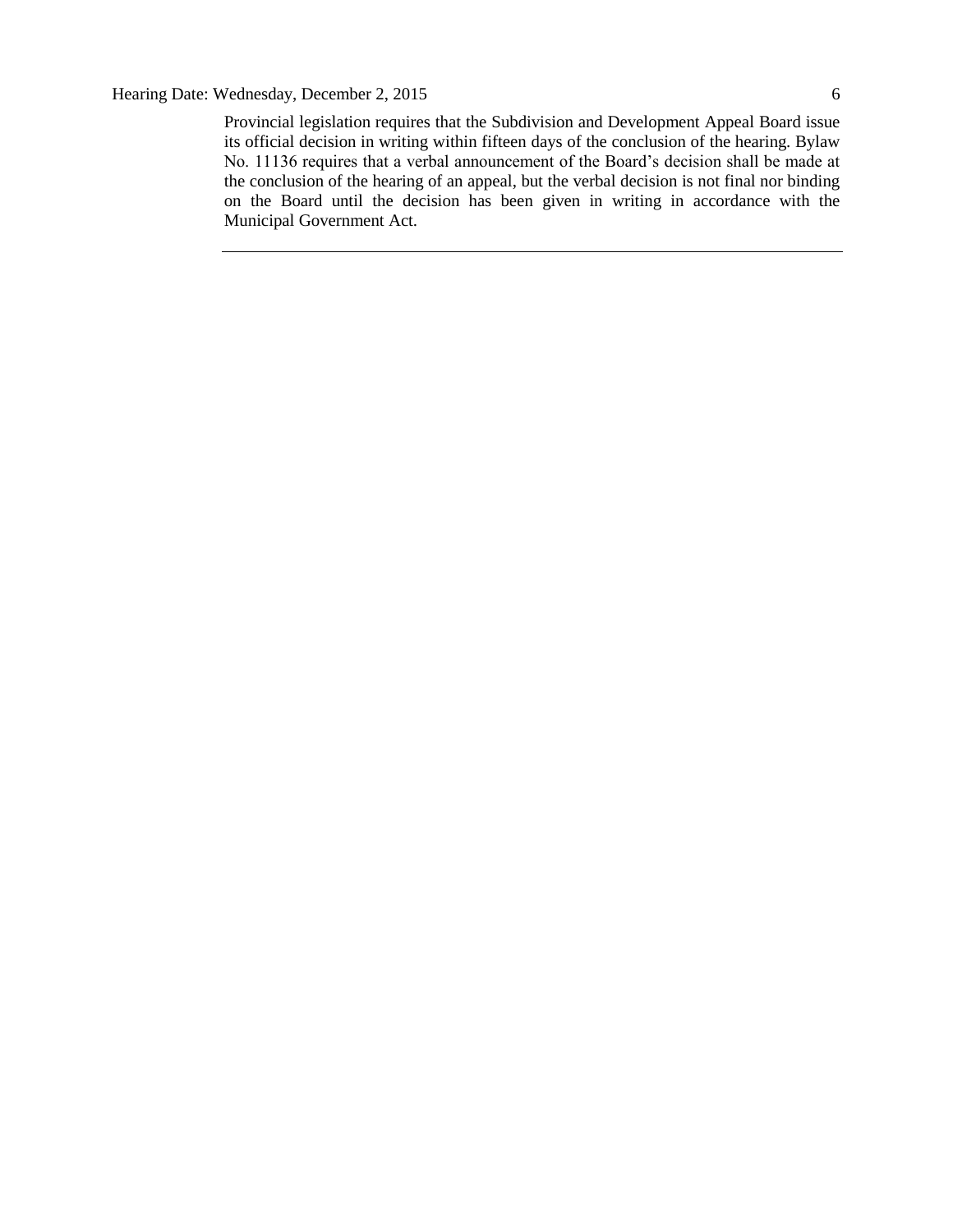Provincial legislation requires that the Subdivision and Development Appeal Board issue its official decision in writing within fifteen days of the conclusion of the hearing. Bylaw No. 11136 requires that a verbal announcement of the Board's decision shall be made at the conclusion of the hearing of an appeal, but the verbal decision is not final nor binding on the Board until the decision has been given in writing in accordance with the Municipal Government Act.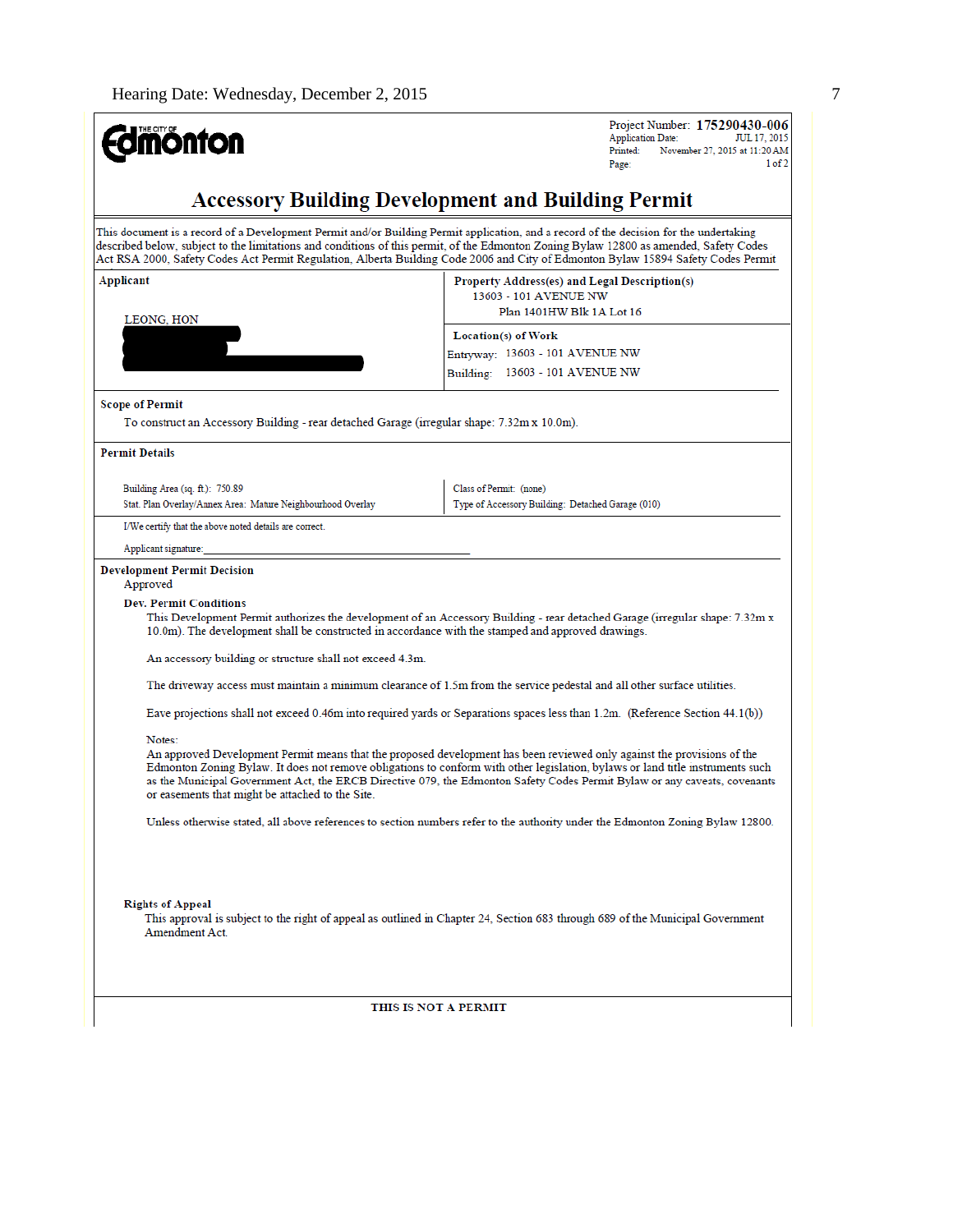# **Edmönton**

Project Number: 175290430-006 **Application Date:** ЛП.17 2015 Printed: November 27, 2015 at 11:20 AM  $1$  of  $2$ Page

### **Accessory Building Development and Building Permit**

This document is a record of a Development Permit and/or Building Permit application, and a record of the decision for the undertaking described below, subject to the limitations and conditions of this permit, of the Edmonton Zoning Bylaw 12800 as amended, Safety Codes Act RSA 2000, Safety Codes Act Permit Regulation, Alberta Building Code 2006 and City of Edmonton Bylaw 15894 Safety Codes Permit

Class of Permit: (none)

Type of Accessory Building: Detached Garage (010)

| Applicant<br>LEONG, HON                                                                                               | Property Address(es) and Legal Description(s)<br>13603 - 101 AVENUE NW<br>Plan 1401HW Blk 1A Lot 16 |  |
|-----------------------------------------------------------------------------------------------------------------------|-----------------------------------------------------------------------------------------------------|--|
|                                                                                                                       | Location(s) of Work<br>Entryway: 13603 - 101 AVENUE NW                                              |  |
|                                                                                                                       | Building: 13603 - 101 AVENUE NW                                                                     |  |
| <b>Scope of Permit</b><br>To construct an Accessory Building - rear detached Garage (irregular shape: 7.32m x 10.0m). |                                                                                                     |  |
| <b>Permit Details</b>                                                                                                 |                                                                                                     |  |

Building Area (sq. ft.): 750.89 Stat. Plan Overlay/Annex Area: Mature Neighbourhood Overlay

I/We certify that the above noted details are correct.

#### Applicant signature:

#### **Development Permit Decision**

Approved

#### **Dev. Permit Conditions**

This Development Permit authorizes the development of an Accessory Building - rear detached Garage (irregular shape: 7.32m x 10.0m). The development shall be constructed in accordance with the stamped and approved drawings.

An accessory building or structure shall not exceed 4.3m.

The driveway access must maintain a minimum clearance of 1.5m from the service pedestal and all other surface utilities.

Eave projections shall not exceed 0.46m into required yards or Separations spaces less than 1.2m. (Reference Section 44.1(b))

#### Notes:

An approved Development Permit means that the proposed development has been reviewed only against the provisions of the Edmonton Zoning Bylaw. It does not remove obligations to conform with other legislation, bylaws or land title instruments such as the Municipal Government Act, the ERCB Directive 079, the Edmonton Safety Codes Permit Bylaw or any caveats, covenants or easements that might be attached to the Site.

Unless otherwise stated, all above references to section numbers refer to the authority under the Edmonton Zoning Bylaw 12800.

**Rights of Appeal** 

This approval is subject to the right of appeal as outlined in Chapter 24, Section 683 through 689 of the Municipal Government Amendment Act.

THIS IS NOT A PERMIT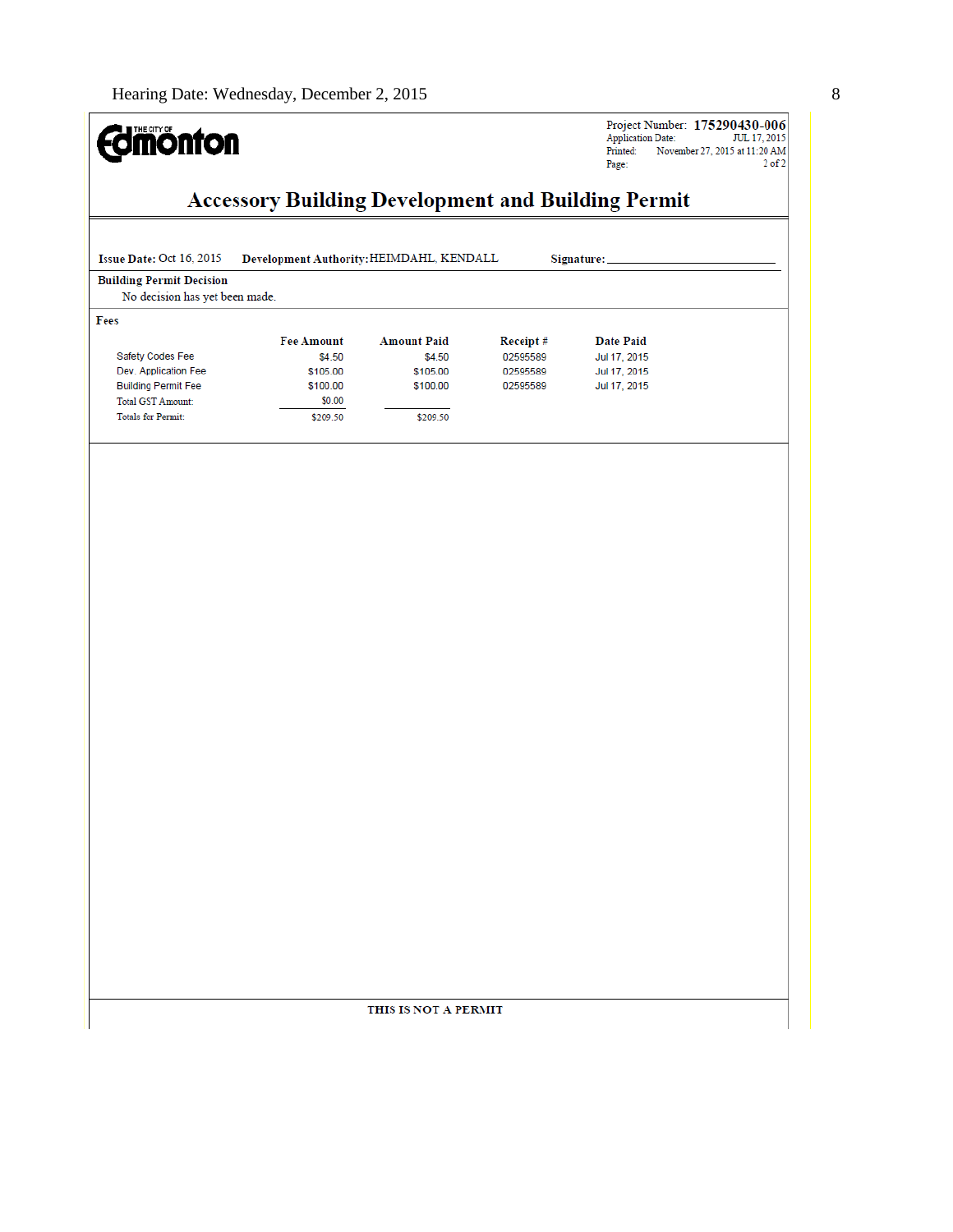#### **Edinonton Accessory Building Development and Building Permit** Issue Date: Oct 16, 2015 Development Authority: HEIMDAHL, KENDALL Signature: **Building Permit Decision** No decision has yet been made. Fees Fee Amount **Amount Paid** Receipt# Safety Codes Fee \$4.50 \$4.50 02595589 Dev. Application Fee 02595589 \$105.00 \$105.00 **Building Permit Fee** \$100.00 \$100.00 02595589 Total GST Amount:  $$0.00$ Totals for Permit: \$209.50 \$209.50

THIS IS NOT A PERMIT

Project Number: 175290430-006 Application Date: JUL 17, 2015<br>Printed: November 27, 2015 at 11:20 AM Page:  $2$  of  $2\,$ 

**Date Paid** 

Jul 17, 2015

Jul 17, 2015

Jul 17, 2015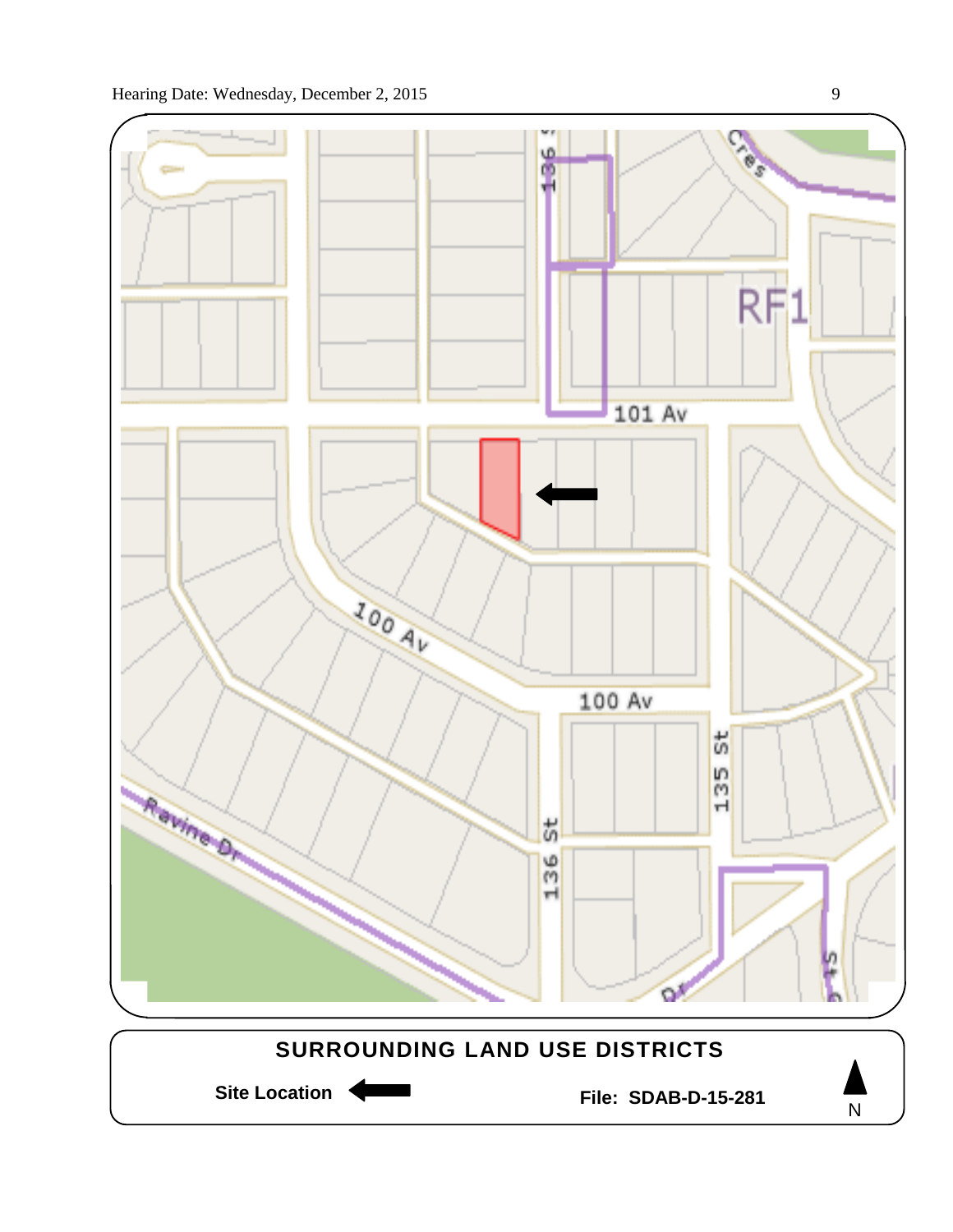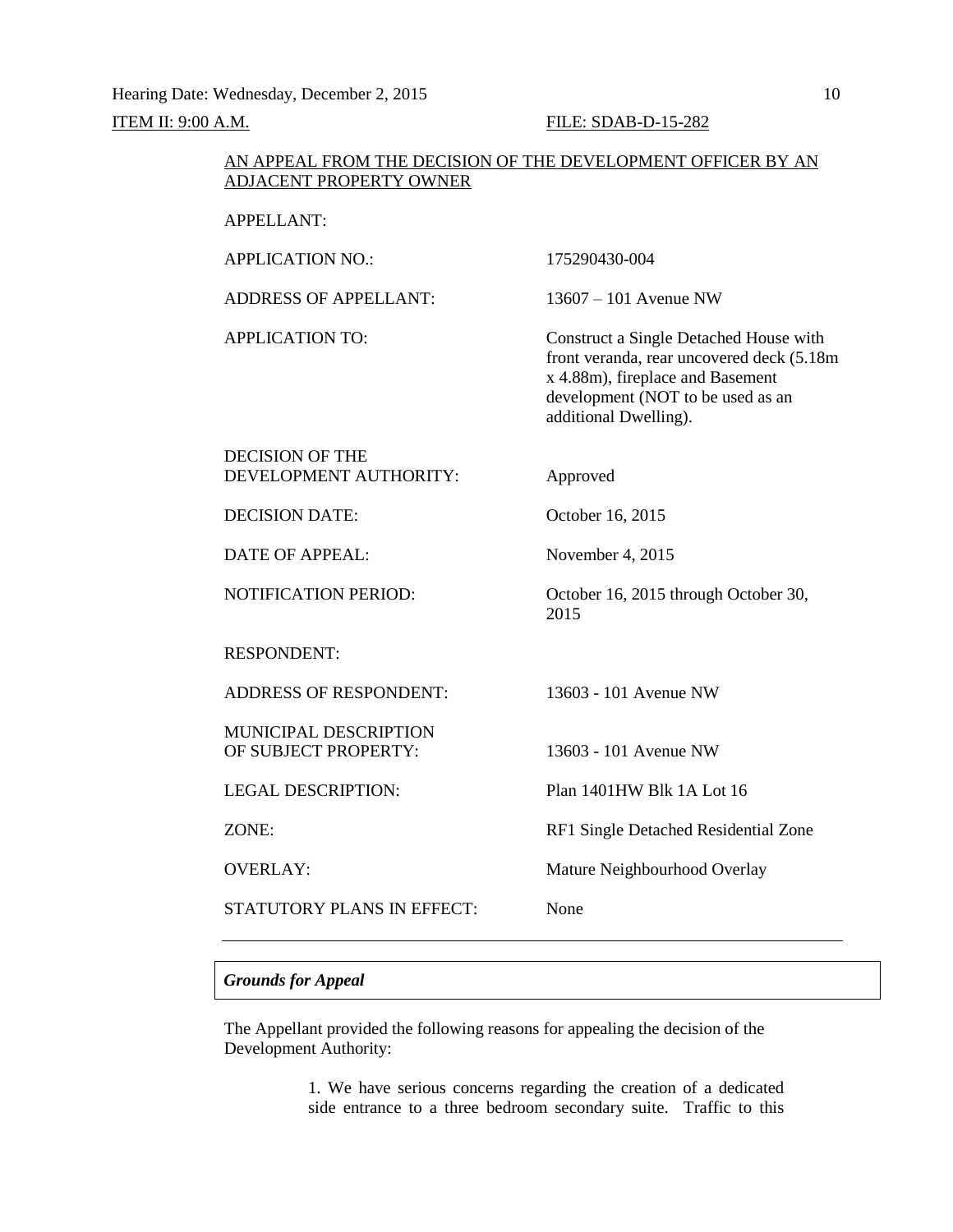#### AN APPEAL FROM THE DECISION OF THE DEVELOPMENT OFFICER BY AN ADJACENT PROPERTY OWNER

#### APPELLANT:

| <b>APPLICATION NO.:</b>       | 175290430-004                                                                                                                                                                          |
|-------------------------------|----------------------------------------------------------------------------------------------------------------------------------------------------------------------------------------|
| <b>ADDRESS OF APPELLANT:</b>  | $13607 - 101$ Avenue NW                                                                                                                                                                |
| <b>APPLICATION TO:</b>        | Construct a Single Detached House with<br>front veranda, rear uncovered deck (5.18m)<br>x 4.88m), fireplace and Basement<br>development (NOT to be used as an<br>additional Dwelling). |
| <b>DECISION OF THE</b>        |                                                                                                                                                                                        |
| DEVELOPMENT AUTHORITY:        | Approved                                                                                                                                                                               |
| <b>DECISION DATE:</b>         | October 16, 2015                                                                                                                                                                       |
| <b>DATE OF APPEAL:</b>        | November 4, 2015                                                                                                                                                                       |
| <b>NOTIFICATION PERIOD:</b>   | October 16, 2015 through October 30,<br>2015                                                                                                                                           |
| <b>RESPONDENT:</b>            |                                                                                                                                                                                        |
| <b>ADDRESS OF RESPONDENT:</b> | 13603 - 101 Avenue NW                                                                                                                                                                  |
| <b>MUNICIPAL DESCRIPTION</b>  |                                                                                                                                                                                        |
| OF SUBJECT PROPERTY:          | 13603 - 101 Avenue NW                                                                                                                                                                  |
| <b>LEGAL DESCRIPTION:</b>     | Plan 1401HW Blk 1A Lot 16                                                                                                                                                              |
| ZONE:                         | RF1 Single Detached Residential Zone                                                                                                                                                   |
| <b>OVERLAY:</b>               | Mature Neighbourhood Overlay                                                                                                                                                           |
| STATUTORY PLANS IN EFFECT:    | None                                                                                                                                                                                   |
|                               |                                                                                                                                                                                        |

#### *Grounds for Appeal*

The Appellant provided the following reasons for appealing the decision of the Development Authority:

> 1. We have serious concerns regarding the creation of a dedicated side entrance to a three bedroom secondary suite. Traffic to this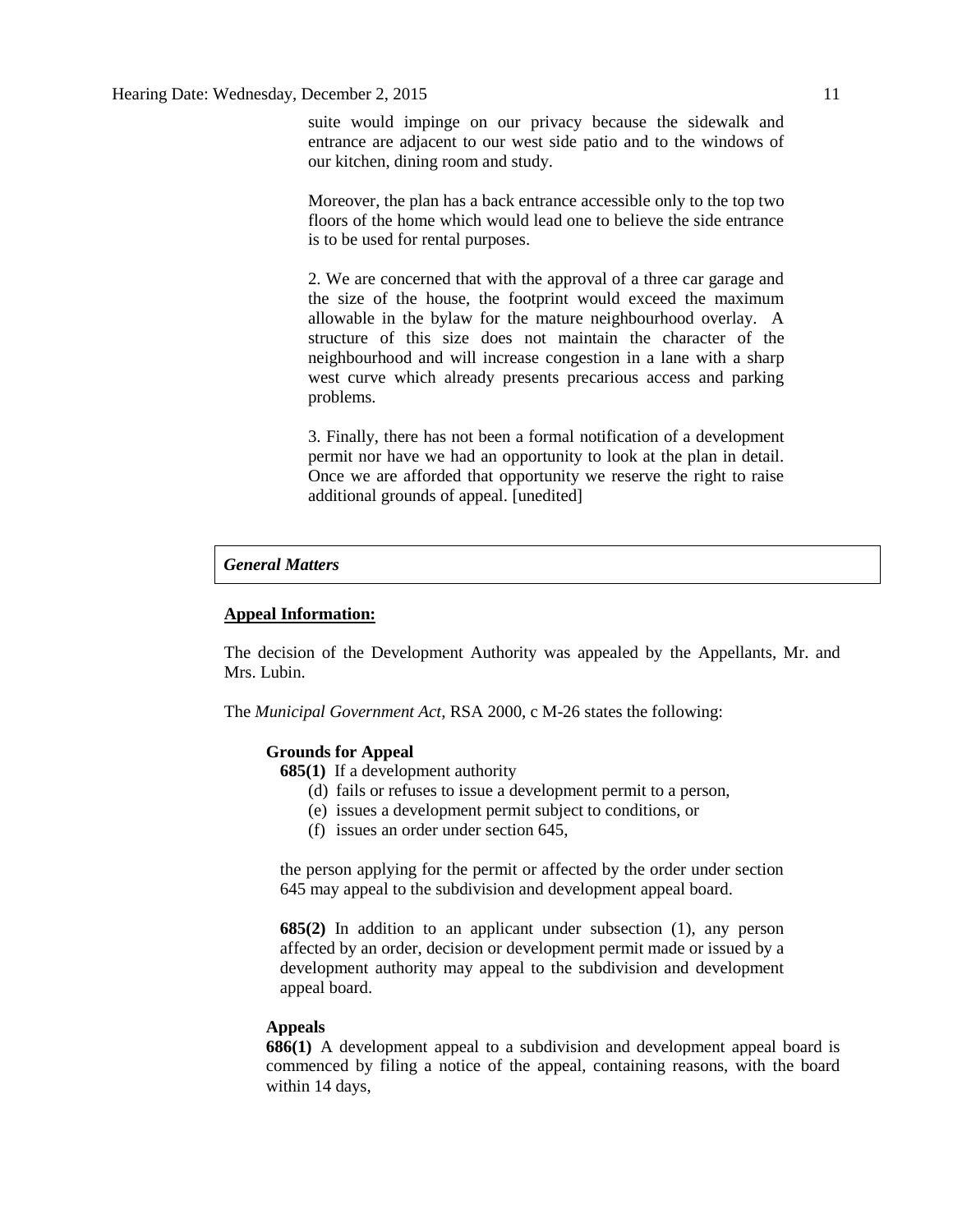suite would impinge on our privacy because the sidewalk and entrance are adjacent to our west side patio and to the windows of our kitchen, dining room and study.

Moreover, the plan has a back entrance accessible only to the top two floors of the home which would lead one to believe the side entrance is to be used for rental purposes.

2. We are concerned that with the approval of a three car garage and the size of the house, the footprint would exceed the maximum allowable in the bylaw for the mature neighbourhood overlay. A structure of this size does not maintain the character of the neighbourhood and will increase congestion in a lane with a sharp west curve which already presents precarious access and parking problems.

3. Finally, there has not been a formal notification of a development permit nor have we had an opportunity to look at the plan in detail. Once we are afforded that opportunity we reserve the right to raise additional grounds of appeal. [unedited]

#### *General Matters*

#### **Appeal Information:**

The decision of the Development Authority was appealed by the Appellants, Mr. and Mrs. Lubin.

The *Municipal Government Act*, RSA 2000, c M-26 states the following:

#### **Grounds for Appeal**

**685(1)** If a development authority

- (d) fails or refuses to issue a development permit to a person,
- (e) issues a development permit subject to conditions, or
- (f) issues an order under section 645,

the person applying for the permit or affected by the order under section 645 may appeal to the subdivision and development appeal board.

**685(2)** In addition to an applicant under subsection (1), any person affected by an order, decision or development permit made or issued by a development authority may appeal to the subdivision and development appeal board.

#### **Appeals**

**686(1)** A development appeal to a subdivision and development appeal board is commenced by filing a notice of the appeal, containing reasons, with the board within 14 days,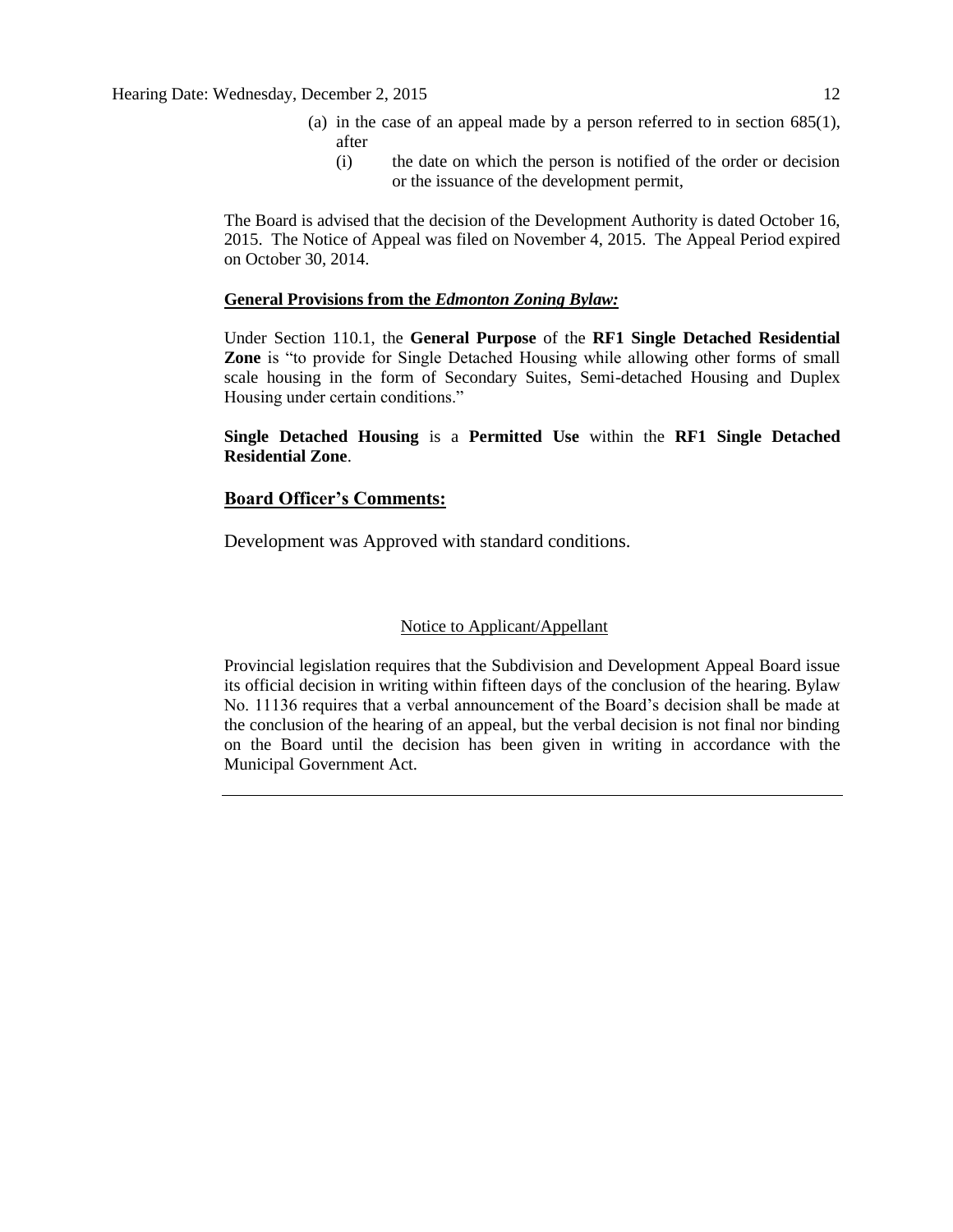Hearing Date: Wednesday, December 2, 2015 12

- (a) in the case of an appeal made by a person referred to in section 685(1), after
	- (i) the date on which the person is notified of the order or decision or the issuance of the development permit,

The Board is advised that the decision of the Development Authority is dated October 16, 2015. The Notice of Appeal was filed on November 4, 2015. The Appeal Period expired on October 30, 2014.

#### **General Provisions from the** *Edmonton Zoning Bylaw:*

Under Section 110.1, the **General Purpose** of the **RF1 Single Detached Residential Zone** is "to provide for Single Detached Housing while allowing other forms of small scale housing in the form of Secondary Suites, Semi-detached Housing and Duplex Housing under certain conditions."

#### **Single Detached Housing** is a **Permitted Use** within the **RF1 Single Detached Residential Zone**.

### **Board Officer's Comments:**

Development was Approved with standard conditions.

#### Notice to Applicant/Appellant

Provincial legislation requires that the Subdivision and Development Appeal Board issue its official decision in writing within fifteen days of the conclusion of the hearing. Bylaw No. 11136 requires that a verbal announcement of the Board's decision shall be made at the conclusion of the hearing of an appeal, but the verbal decision is not final nor binding on the Board until the decision has been given in writing in accordance with the Municipal Government Act.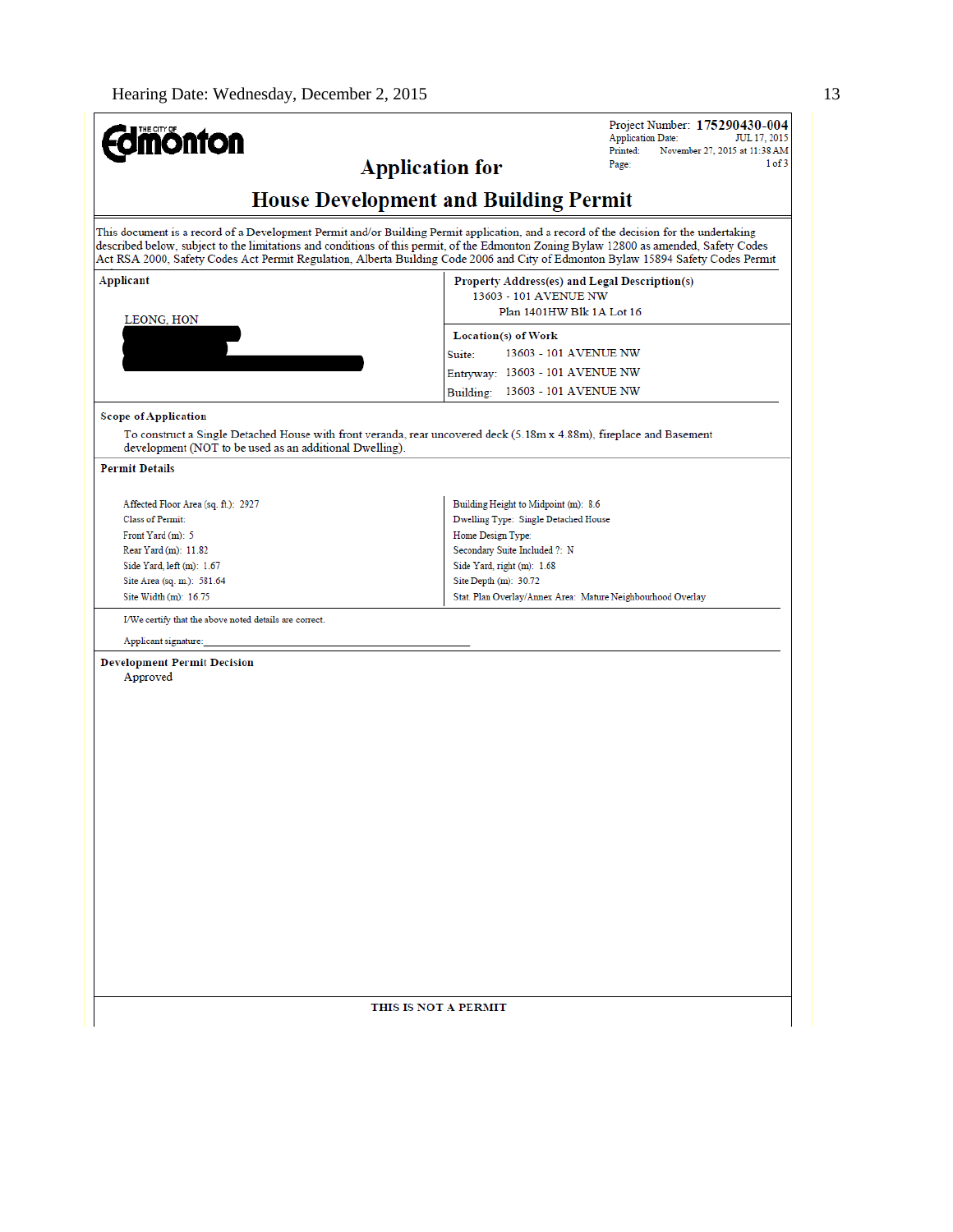Г

| <b><i><u>amonton</u></i></b>                                                                                                                                                                                                                       | Project Number: 175290430-004<br><b>Application Date:</b><br>JUL 17, 2015<br>Printed:<br>November 27, 2015 at 11:38 AM<br>1 of 3<br><b>Application for</b><br>Page:                                                                                                                                                                                                                                                   |
|----------------------------------------------------------------------------------------------------------------------------------------------------------------------------------------------------------------------------------------------------|-----------------------------------------------------------------------------------------------------------------------------------------------------------------------------------------------------------------------------------------------------------------------------------------------------------------------------------------------------------------------------------------------------------------------|
|                                                                                                                                                                                                                                                    | <b>House Development and Building Permit</b>                                                                                                                                                                                                                                                                                                                                                                          |
|                                                                                                                                                                                                                                                    | This document is a record of a Development Permit and/or Building Permit application, and a record of the decision for the undertaking<br>described below, subject to the limitations and conditions of this permit, of the Edmonton Zoning Bylaw 12800 as amended, Safety Codes<br>Act RSA 2000, Safety Codes Act Permit Regulation, Alberta Building Code 2006 and City of Edmonton Bylaw 15894 Safety Codes Permit |
| Applicant<br>LEONG, HON                                                                                                                                                                                                                            | Property Address(es) and Legal Description(s)<br>13603 - 101 AVENUE NW<br>Plan 1401HW Blk 1A Lot 16<br>Location(s) of Work                                                                                                                                                                                                                                                                                            |
|                                                                                                                                                                                                                                                    | Suite:<br>13603 - 101 AVENUE NW<br>Entryway: 13603 - 101 AVENUE NW<br>Building: 13603 - 101 AVENUE NW                                                                                                                                                                                                                                                                                                                 |
| <b>Scope of Application</b><br>development (NOT to be used as an additional Dwelling).                                                                                                                                                             | To construct a Single Detached House with front veranda, rear uncovered deck (5.18m x 4.88m), fireplace and Basement                                                                                                                                                                                                                                                                                                  |
| <b>Permit Details</b>                                                                                                                                                                                                                              |                                                                                                                                                                                                                                                                                                                                                                                                                       |
| Affected Floor Area (sq. ft.): 2927<br>Class of Permit:<br>Front Yard (m): 5<br>Rear Yard (m): 11.82<br>Side Yard, left (m): 1.67<br>Site Area (sq. m.): 581.64<br>Site Width (m): 16.75<br>I/We certify that the above noted details are correct. | Building Height to Midpoint (m): 8.6<br>Dwelling Type: Single Detached House<br>Home Design Type:<br>Secondary Suite Included ?: N<br>Side Yard, right (m): 1.68<br>Site Depth $(m)$ : 30.72<br>Stat. Plan Overlay/Annex Area: Mature Neighbourhood Overlay                                                                                                                                                           |
| Applicant signature:                                                                                                                                                                                                                               |                                                                                                                                                                                                                                                                                                                                                                                                                       |
| <b>Development Permit Decision</b><br>Approved                                                                                                                                                                                                     |                                                                                                                                                                                                                                                                                                                                                                                                                       |
|                                                                                                                                                                                                                                                    | THIS IS NOT A PERMIT                                                                                                                                                                                                                                                                                                                                                                                                  |
|                                                                                                                                                                                                                                                    |                                                                                                                                                                                                                                                                                                                                                                                                                       |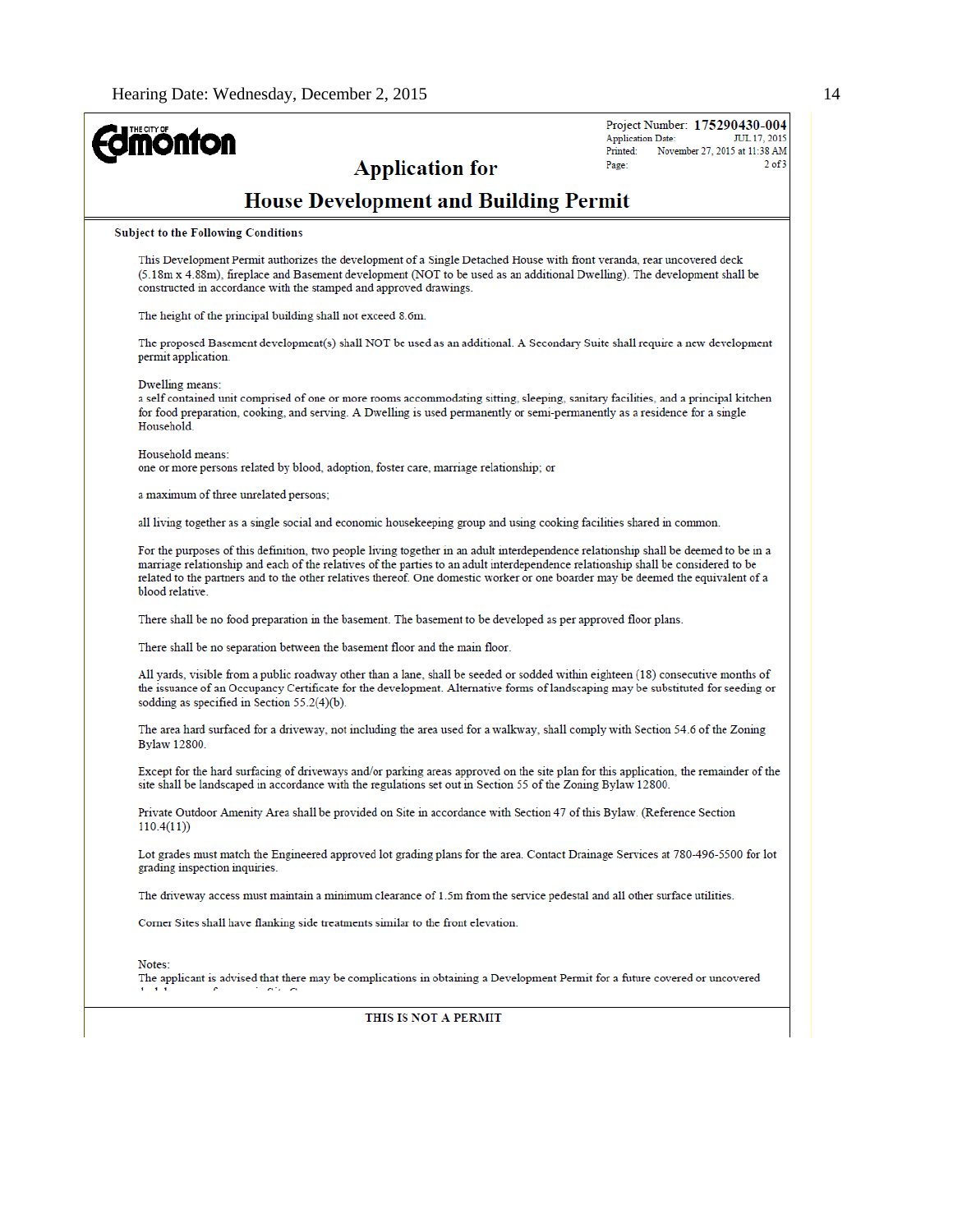| <b>nonton</b>                                                                                                                                                                                                                                                                                                                                                                                                                   | Project Number: 175290430-004<br><b>Application Date:</b><br>JUL 17, 2015 |
|---------------------------------------------------------------------------------------------------------------------------------------------------------------------------------------------------------------------------------------------------------------------------------------------------------------------------------------------------------------------------------------------------------------------------------|---------------------------------------------------------------------------|
| <b>Application for</b>                                                                                                                                                                                                                                                                                                                                                                                                          | November 27, 2015 at 11:38 AM<br>Printed:<br>$2$ of $3$<br>Page:          |
| <b>House Development and Building Permit</b>                                                                                                                                                                                                                                                                                                                                                                                    |                                                                           |
| <b>Subject to the Following Conditions</b>                                                                                                                                                                                                                                                                                                                                                                                      |                                                                           |
| This Development Permit authorizes the development of a Single Detached House with front veranda, rear uncovered deck<br>(5.18m x 4.88m), fireplace and Basement development (NOT to be used as an additional Dwelling). The development shall be<br>constructed in accordance with the stamped and approved drawings.                                                                                                          |                                                                           |
| The height of the principal building shall not exceed 8.6m.                                                                                                                                                                                                                                                                                                                                                                     |                                                                           |
| The proposed Basement development(s) shall NOT be used as an additional. A Secondary Suite shall require a new development<br>permit application.                                                                                                                                                                                                                                                                               |                                                                           |
| Dwelling means:<br>a self contained unit comprised of one or more rooms accommodating sitting, sleeping, sanitary facilities, and a principal kitchen<br>for food preparation, cooking, and serving. A Dwelling is used permanently or semi-permanently as a residence for a single<br>Household.                                                                                                                               |                                                                           |
| Household means:<br>one or more persons related by blood, adoption, foster care, marriage relationship; or                                                                                                                                                                                                                                                                                                                      |                                                                           |
| a maximum of three unrelated persons;                                                                                                                                                                                                                                                                                                                                                                                           |                                                                           |
| all living together as a single social and economic housekeeping group and using cooking facilities shared in common.                                                                                                                                                                                                                                                                                                           |                                                                           |
| For the purposes of this definition, two people living together in an adult interdependence relationship shall be deemed to be in a<br>marriage relationship and each of the relatives of the parties to an adult interdependence relationship shall be considered to be<br>related to the partners and to the other relatives thereof. One domestic worker or one boarder may be deemed the equivalent of a<br>blood relative. |                                                                           |
| There shall be no food preparation in the basement. The basement to be developed as per approved floor plans.                                                                                                                                                                                                                                                                                                                   |                                                                           |
| There shall be no separation between the basement floor and the main floor.                                                                                                                                                                                                                                                                                                                                                     |                                                                           |
| All yards, visible from a public roadway other than a lane, shall be seeded or sodded within eighteen (18) consecutive months of<br>the issuance of an Occupancy Certificate for the development. Alternative forms of landscaping may be substituted for seeding or<br>sodding as specified in Section $55.2(4)(b)$ .                                                                                                          |                                                                           |
| The area hard surfaced for a driveway, not including the area used for a walkway, shall comply with Section 54.6 of the Zoning<br>Bylaw 12800.                                                                                                                                                                                                                                                                                  |                                                                           |
| Except for the hard surfacing of driveways and/or parking areas approved on the site plan for this application, the remainder of the<br>site shall be landscaped in accordance with the regulations set out in Section 55 of the Zoning Bylaw 12800.                                                                                                                                                                            |                                                                           |
| Private Outdoor Amenity Area shall be provided on Site in accordance with Section 47 of this Bylaw. (Reference Section<br>110.4(11)                                                                                                                                                                                                                                                                                             |                                                                           |
| Lot grades must match the Engineered approved lot grading plans for the area. Contact Drainage Services at 780-496-5500 for lot<br>grading inspection inquiries.                                                                                                                                                                                                                                                                |                                                                           |
| The driveway access must maintain a minimum clearance of 1.5m from the service pedestal and all other surface utilities.                                                                                                                                                                                                                                                                                                        |                                                                           |
| Corner Sites shall have flanking side treatments similar to the front elevation.                                                                                                                                                                                                                                                                                                                                                |                                                                           |
| Notes:<br>The applicant is advised that there may be complications in obtaining a Development Permit for a future covered or uncovered                                                                                                                                                                                                                                                                                          |                                                                           |
| THIS IS NOT A PERMIT                                                                                                                                                                                                                                                                                                                                                                                                            |                                                                           |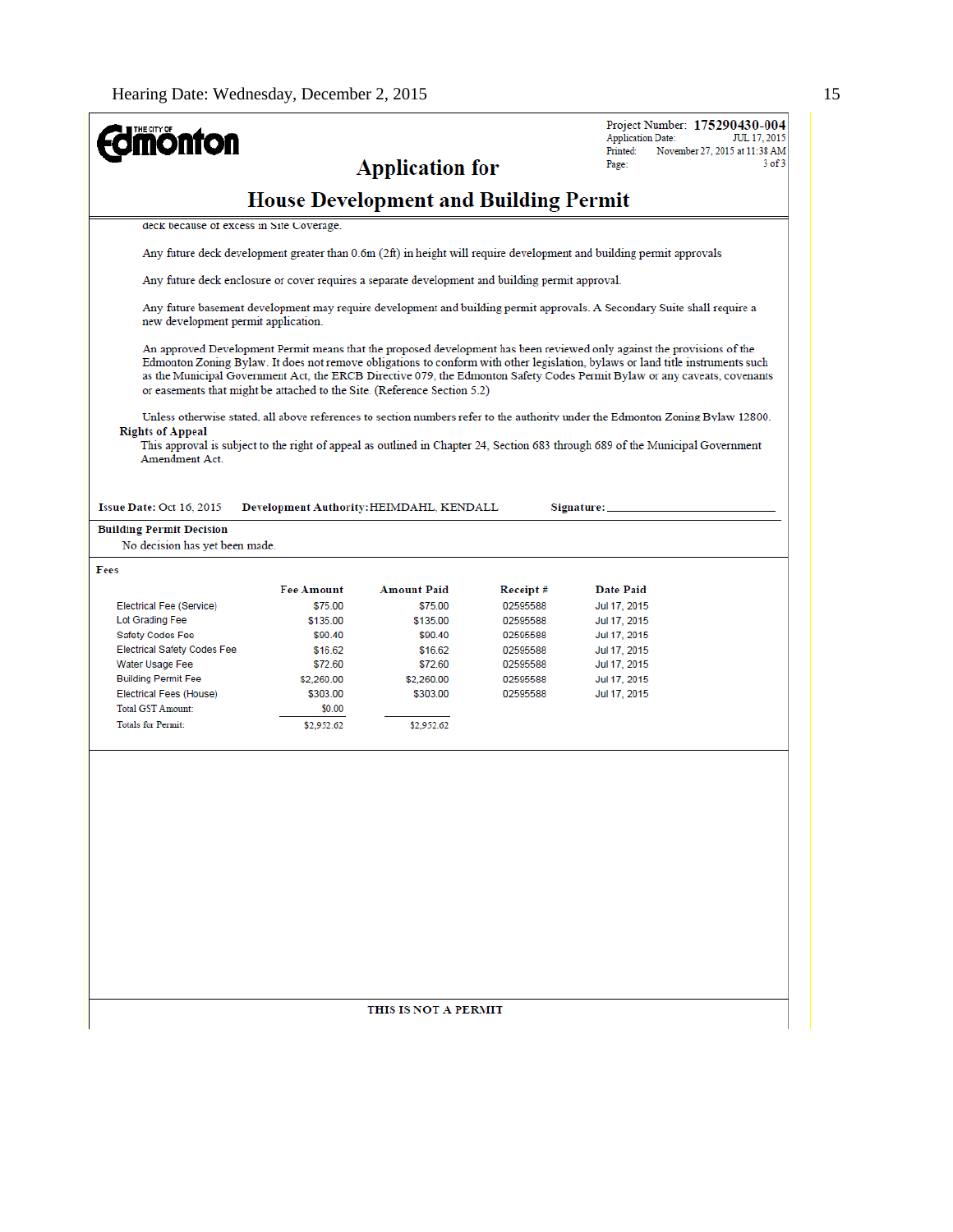| <b>mönton</b>                                                                                    |                      |                                              |          | Project Number: 175290430-004<br><b>Application Date:</b><br>JUL 17, 2015                                                                                                                                                                                                                                                                                                              |
|--------------------------------------------------------------------------------------------------|----------------------|----------------------------------------------|----------|----------------------------------------------------------------------------------------------------------------------------------------------------------------------------------------------------------------------------------------------------------------------------------------------------------------------------------------------------------------------------------------|
|                                                                                                  |                      | <b>Application for</b>                       |          | Printed:<br>November 27, 2015 at 11:38 AM<br>$3$ of $3$<br>Page:                                                                                                                                                                                                                                                                                                                       |
|                                                                                                  |                      |                                              |          |                                                                                                                                                                                                                                                                                                                                                                                        |
|                                                                                                  |                      | <b>House Development and Building Permit</b> |          |                                                                                                                                                                                                                                                                                                                                                                                        |
| deck because of excess in Site Coverage.                                                         |                      |                                              |          |                                                                                                                                                                                                                                                                                                                                                                                        |
|                                                                                                  |                      |                                              |          | Any future deck development greater than 0.6m (2ft) in height will require development and building permit approvals                                                                                                                                                                                                                                                                   |
| Any future deck enclosure or cover requires a separate development and building permit approval. |                      |                                              |          |                                                                                                                                                                                                                                                                                                                                                                                        |
| new development permit application.                                                              |                      |                                              |          | Any future basement development may require development and building permit approvals. A Secondary Suite shall require a                                                                                                                                                                                                                                                               |
| or easements that might be attached to the Site. (Reference Section 5.2)                         |                      |                                              |          | An approved Development Permit means that the proposed development has been reviewed only against the provisions of the<br>Edmonton Zoning Bylaw. It does not remove obligations to conform with other legislation, bylaws or land title instruments such<br>as the Municipal Government Act, the ERCB Directive 079, the Edmonton Safety Codes Permit Bylaw or any caveats, covenants |
| <b>Rights of Appeal</b><br>Amendment Act.                                                        |                      |                                              |          | Unless otherwise stated, all above references to section numbers refer to the authority under the Edmonton Zoning Bylaw 12800.<br>This approval is subject to the right of appeal as outlined in Chapter 24, Section 683 through 689 of the Municipal Government                                                                                                                       |
| Issue Date: Oct 16, 2015                                                                         |                      | Development Authority: HEIMDAHL, KENDALL     |          | Signature:                                                                                                                                                                                                                                                                                                                                                                             |
| <b>Building Permit Decision</b><br>No decision has yet been made.                                |                      |                                              |          |                                                                                                                                                                                                                                                                                                                                                                                        |
| Fees                                                                                             |                      |                                              |          |                                                                                                                                                                                                                                                                                                                                                                                        |
|                                                                                                  | <b>Fee Amount</b>    | <b>Amount Paid</b>                           | Receipt# | Date Paid                                                                                                                                                                                                                                                                                                                                                                              |
| Electrical Fee (Service)                                                                         | \$75.00              | \$75.00                                      | 02595588 | Jul 17, 2015                                                                                                                                                                                                                                                                                                                                                                           |
| Lot Grading Fee                                                                                  | \$135.00             | \$135.00                                     | 02595588 | Jul 17, 2015                                                                                                                                                                                                                                                                                                                                                                           |
| <b>Safety Codes Fee</b>                                                                          | \$90.40              | \$90.40                                      | 02595588 | Jul 17, 2015                                                                                                                                                                                                                                                                                                                                                                           |
| <b>Electrical Safety Codes Fee</b>                                                               | \$16.62              | \$16.62                                      | 02595588 | Jul 17, 2015                                                                                                                                                                                                                                                                                                                                                                           |
| Water Usage Fee                                                                                  | \$72.60              | \$72.60                                      | 02595588 | Jul 17, 2015                                                                                                                                                                                                                                                                                                                                                                           |
| <b>Building Permit Fee</b>                                                                       | \$2,260.00           | \$2,260.00                                   | 02595588 | Jul 17, 2015                                                                                                                                                                                                                                                                                                                                                                           |
| Electrical Fees (House)                                                                          | \$303.00             | \$303.00                                     | 02595588 | Jul 17, 2015                                                                                                                                                                                                                                                                                                                                                                           |
| <b>Total GST Amount:</b><br><b>Totals for Permit:</b>                                            | \$0.00<br>\$2,952.62 | \$2,952.62                                   |          |                                                                                                                                                                                                                                                                                                                                                                                        |
|                                                                                                  |                      |                                              |          |                                                                                                                                                                                                                                                                                                                                                                                        |
|                                                                                                  |                      |                                              |          |                                                                                                                                                                                                                                                                                                                                                                                        |
|                                                                                                  |                      |                                              |          |                                                                                                                                                                                                                                                                                                                                                                                        |
|                                                                                                  |                      |                                              |          |                                                                                                                                                                                                                                                                                                                                                                                        |
|                                                                                                  |                      |                                              |          |                                                                                                                                                                                                                                                                                                                                                                                        |
|                                                                                                  |                      |                                              |          |                                                                                                                                                                                                                                                                                                                                                                                        |
|                                                                                                  |                      |                                              |          |                                                                                                                                                                                                                                                                                                                                                                                        |
|                                                                                                  |                      |                                              |          |                                                                                                                                                                                                                                                                                                                                                                                        |
|                                                                                                  |                      |                                              |          |                                                                                                                                                                                                                                                                                                                                                                                        |

THIS IS NOT A PERMIT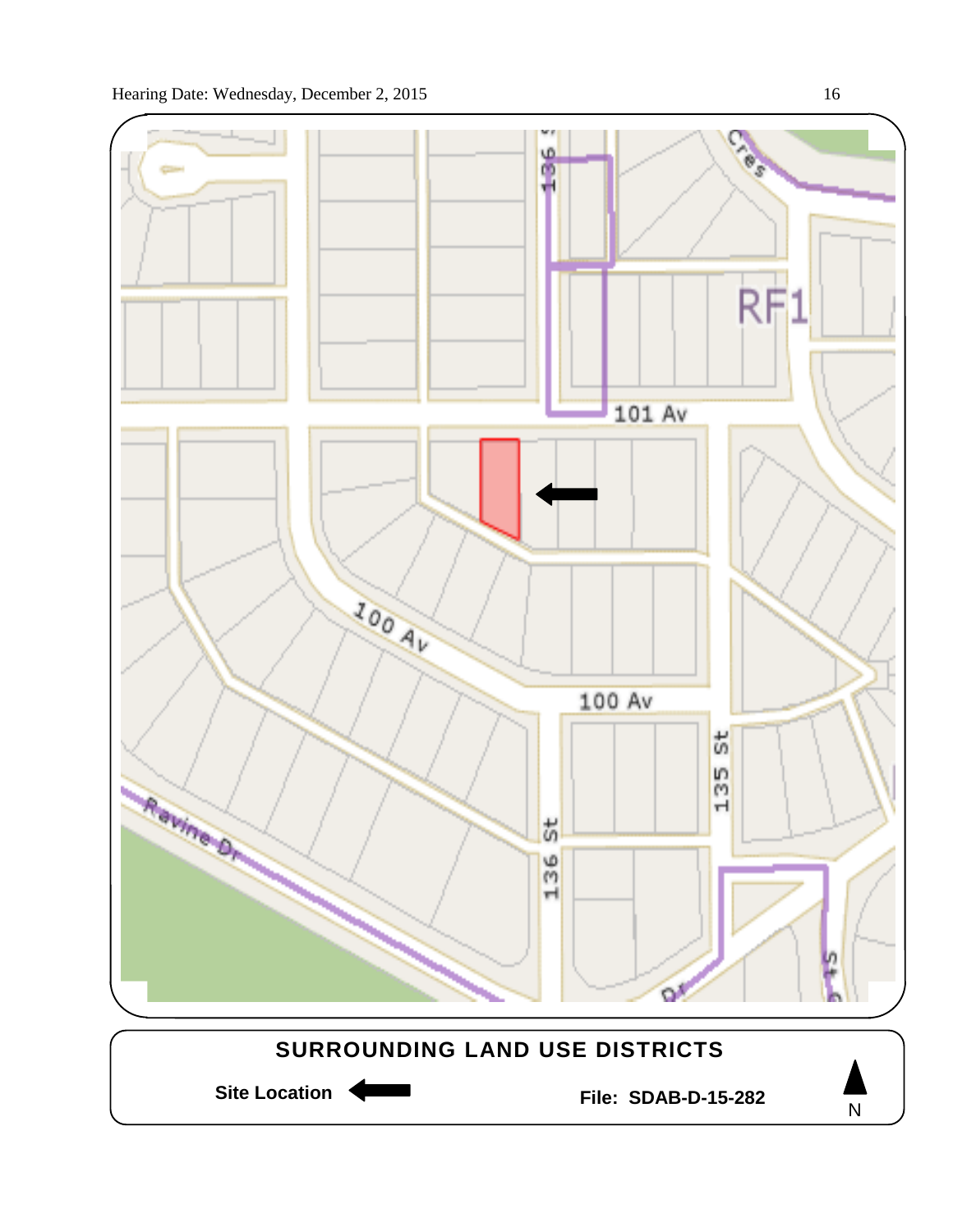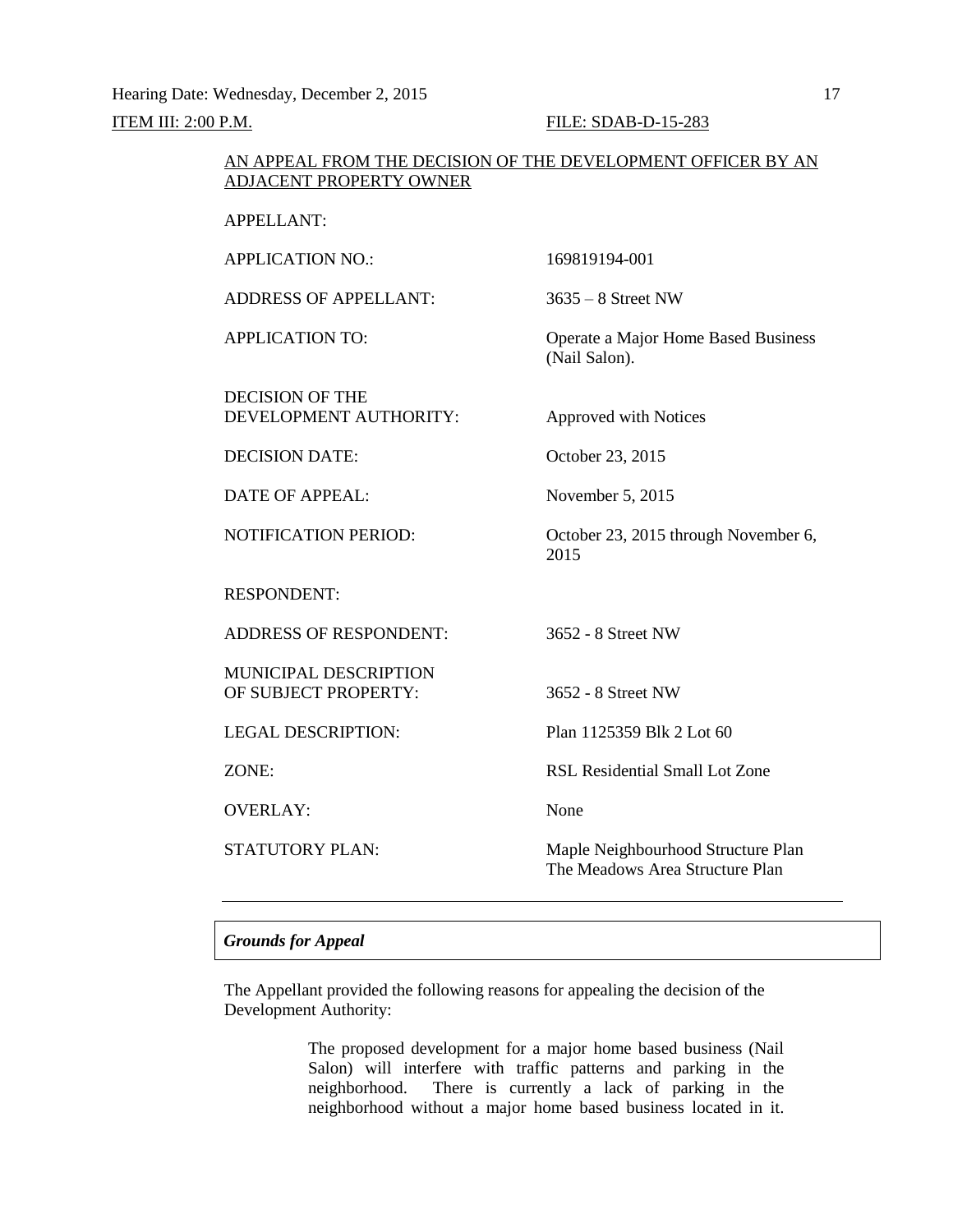#### AN APPEAL FROM THE DECISION OF THE DEVELOPMENT OFFICER BY AN ADJACENT PROPERTY OWNER

APPELLANT:

APPLICATION NO.: 169819194-001 ADDRESS OF APPELLANT: 3635 – 8 Street NW APPLICATION TO: Operate a Major Home Based Business (Nail Salon). DECISION OF THE DEVELOPMENT AUTHORITY: Approved with Notices DECISION DATE: October 23, 2015 DATE OF APPEAL: November 5, 2015 NOTIFICATION PERIOD: October 23, 2015 through November 6, 2015 RESPONDENT: ADDRESS OF RESPONDENT: 3652 - 8 Street NW MUNICIPAL DESCRIPTION OF SUBJECT PROPERTY: 3652 - 8 Street NW LEGAL DESCRIPTION: Plan 1125359 Blk 2 Lot 60 ZONE: RSL Residential Small Lot Zone OVERLAY: None STATUTORY PLAN: Maple Neighbourhood Structure Plan The Meadows Area Structure Plan

#### *Grounds for Appeal*

The Appellant provided the following reasons for appealing the decision of the Development Authority:

> The proposed development for a major home based business (Nail Salon) will interfere with traffic patterns and parking in the neighborhood. There is currently a lack of parking in the neighborhood without a major home based business located in it.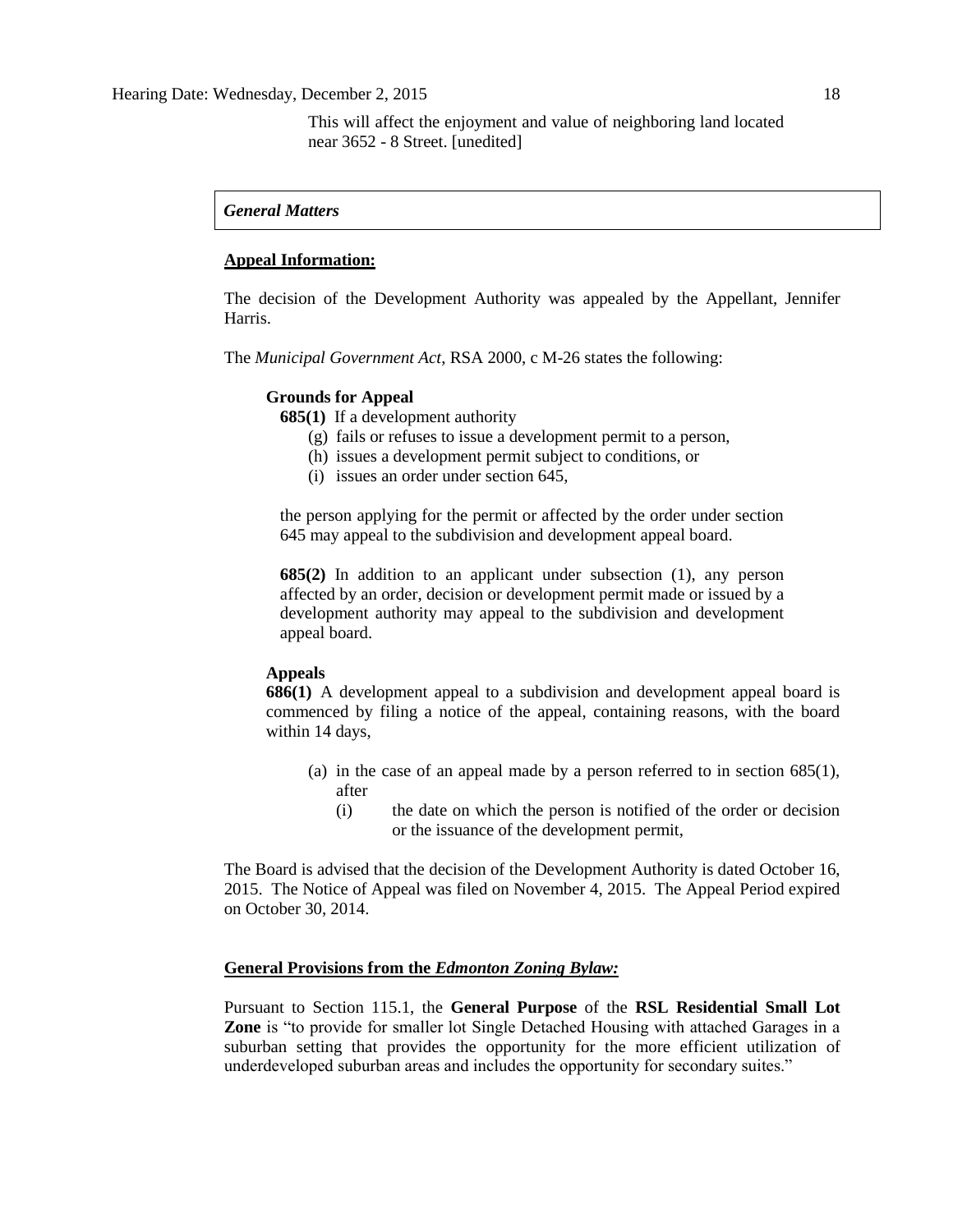#### *General Matters*

#### **Appeal Information:**

The decision of the Development Authority was appealed by the Appellant, Jennifer Harris.

The *Municipal Government Act*, RSA 2000, c M-26 states the following:

#### **Grounds for Appeal**

**685(1)** If a development authority

- (g) fails or refuses to issue a development permit to a person,
- (h) issues a development permit subject to conditions, or
- (i) issues an order under section 645,

the person applying for the permit or affected by the order under section 645 may appeal to the subdivision and development appeal board.

**685(2)** In addition to an applicant under subsection (1), any person affected by an order, decision or development permit made or issued by a development authority may appeal to the subdivision and development appeal board.

#### **Appeals**

**686(1)** A development appeal to a subdivision and development appeal board is commenced by filing a notice of the appeal, containing reasons, with the board within 14 days,

- (a) in the case of an appeal made by a person referred to in section 685(1), after
	- (i) the date on which the person is notified of the order or decision or the issuance of the development permit,

The Board is advised that the decision of the Development Authority is dated October 16, 2015. The Notice of Appeal was filed on November 4, 2015. The Appeal Period expired on October 30, 2014.

#### **General Provisions from the** *Edmonton Zoning Bylaw:*

Pursuant to Section 115.1, the **General Purpose** of the **RSL Residential Small Lot Zone** is "to provide for smaller lot Single Detached Housing with attached Garages in a suburban setting that provides the opportunity for the more efficient utilization of underdeveloped suburban areas and includes the opportunity for secondary suites."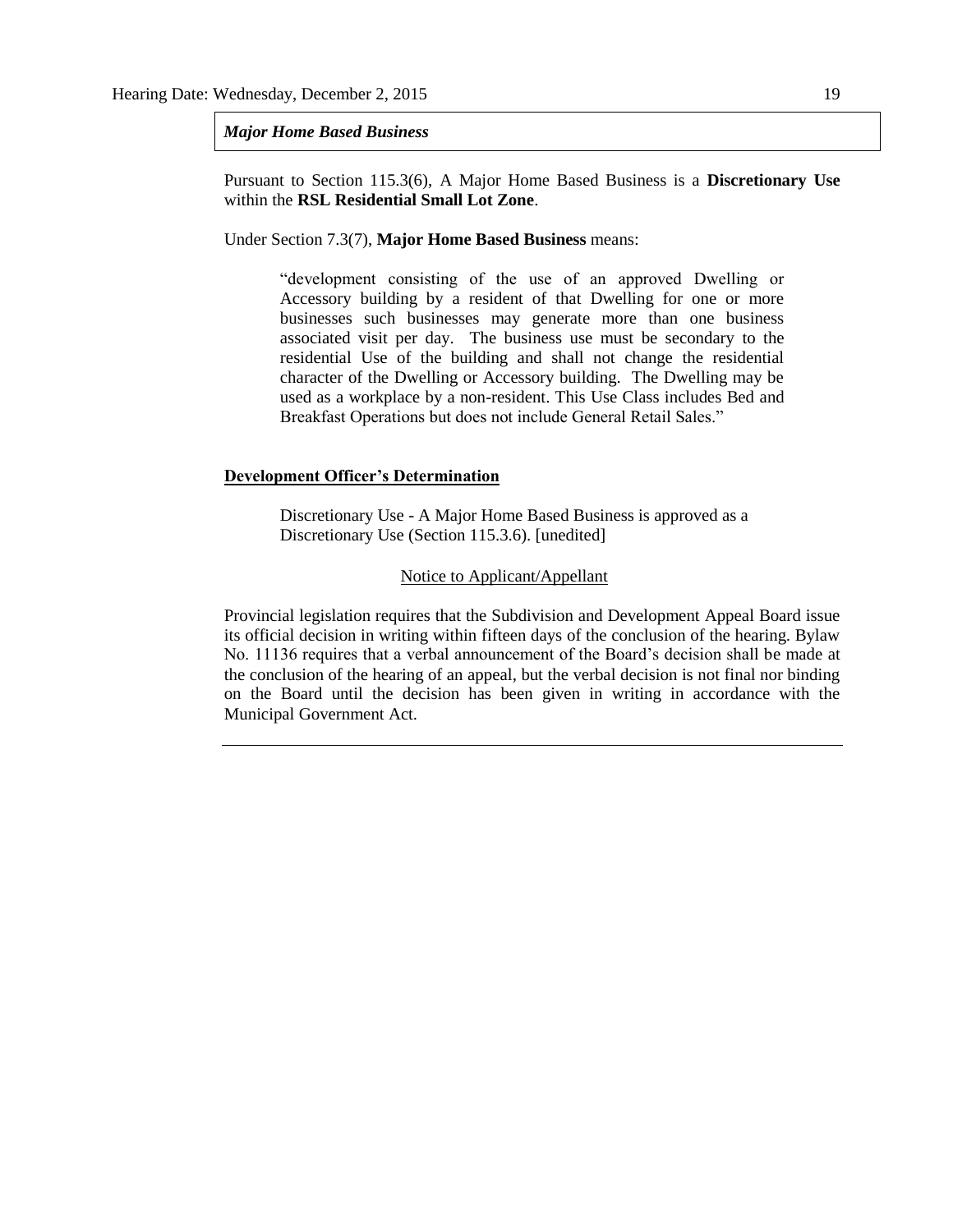#### *Major Home Based Business*

Pursuant to Section 115.3(6), A Major Home Based Business is a **Discretionary Use**  within the **RSL Residential Small Lot Zone**.

Under Section 7.3(7), **Major Home Based Business** means:

"development consisting of the use of an approved Dwelling or Accessory building by a resident of that Dwelling for one or more businesses such businesses may generate more than one business associated visit per day. The business use must be secondary to the residential Use of the building and shall not change the residential character of the Dwelling or Accessory building. The Dwelling may be used as a workplace by a non-resident. This Use Class includes Bed and Breakfast Operations but does not include General Retail Sales."

#### **Development Officer's Determination**

Discretionary Use - A Major Home Based Business is approved as a Discretionary Use (Section 115.3.6). [unedited]

#### Notice to Applicant/Appellant

Provincial legislation requires that the Subdivision and Development Appeal Board issue its official decision in writing within fifteen days of the conclusion of the hearing. Bylaw No. 11136 requires that a verbal announcement of the Board's decision shall be made at the conclusion of the hearing of an appeal, but the verbal decision is not final nor binding on the Board until the decision has been given in writing in accordance with the Municipal Government Act.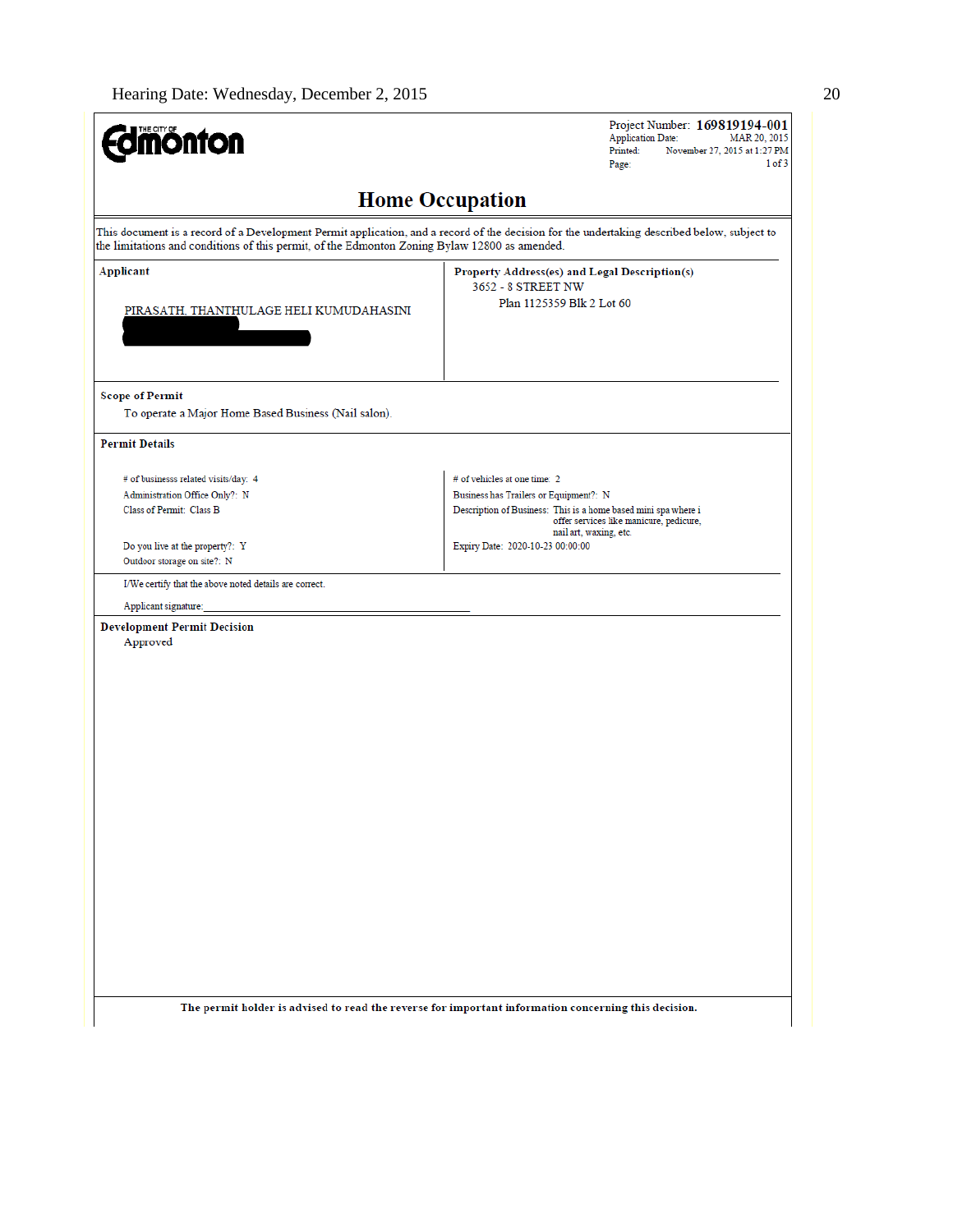| <b>dmönton</b>                                                                                     | Project Number: 169819194-001<br><b>Application Date:</b><br>MAR 20, 2015<br>Printed:<br>November 27, 2015 at 1:27 PM<br>1 of 3<br>Page:                                            |
|----------------------------------------------------------------------------------------------------|-------------------------------------------------------------------------------------------------------------------------------------------------------------------------------------|
|                                                                                                    | <b>Home Occupation</b>                                                                                                                                                              |
| the limitations and conditions of this permit, of the Edmonton Zoning Bylaw 12800 as amended.      | This document is a record of a Development Permit application, and a record of the decision for the undertaking described below, subject to                                         |
| Applicant<br>PIRASATH, THANTHULAGE HELI KUMUDAHASINI                                               | Property Address(es) and Legal Description(s)<br>3652 - 8 STREET NW<br>Plan 1125359 Blk 2 Lot 60                                                                                    |
| <b>Scope of Permit</b><br>To operate a Major Home Based Business (Nail salon).                     |                                                                                                                                                                                     |
| <b>Permit Details</b>                                                                              |                                                                                                                                                                                     |
| # of businesss related visits/day: 4<br>Administration Office Only?: N<br>Class of Permit: Class B | # of vehicles at one time: 2<br>Business has Trailers or Equipment?: N<br>Description of Business: This is a home based mini spa where i<br>offer services like manicure, pedicure, |
| Do you live at the property?: Y<br>Outdoor storage on site?: N                                     | nail art, waxing, etc.<br>Expiry Date: 2020-10-23 00:00:00                                                                                                                          |
| I/We certify that the above noted details are correct.<br>Applicant signature:                     |                                                                                                                                                                                     |
| <b>Development Permit Decision</b><br>Approved                                                     |                                                                                                                                                                                     |
|                                                                                                    | The permit holder is advised to read the reverse for important information concerning this decision.                                                                                |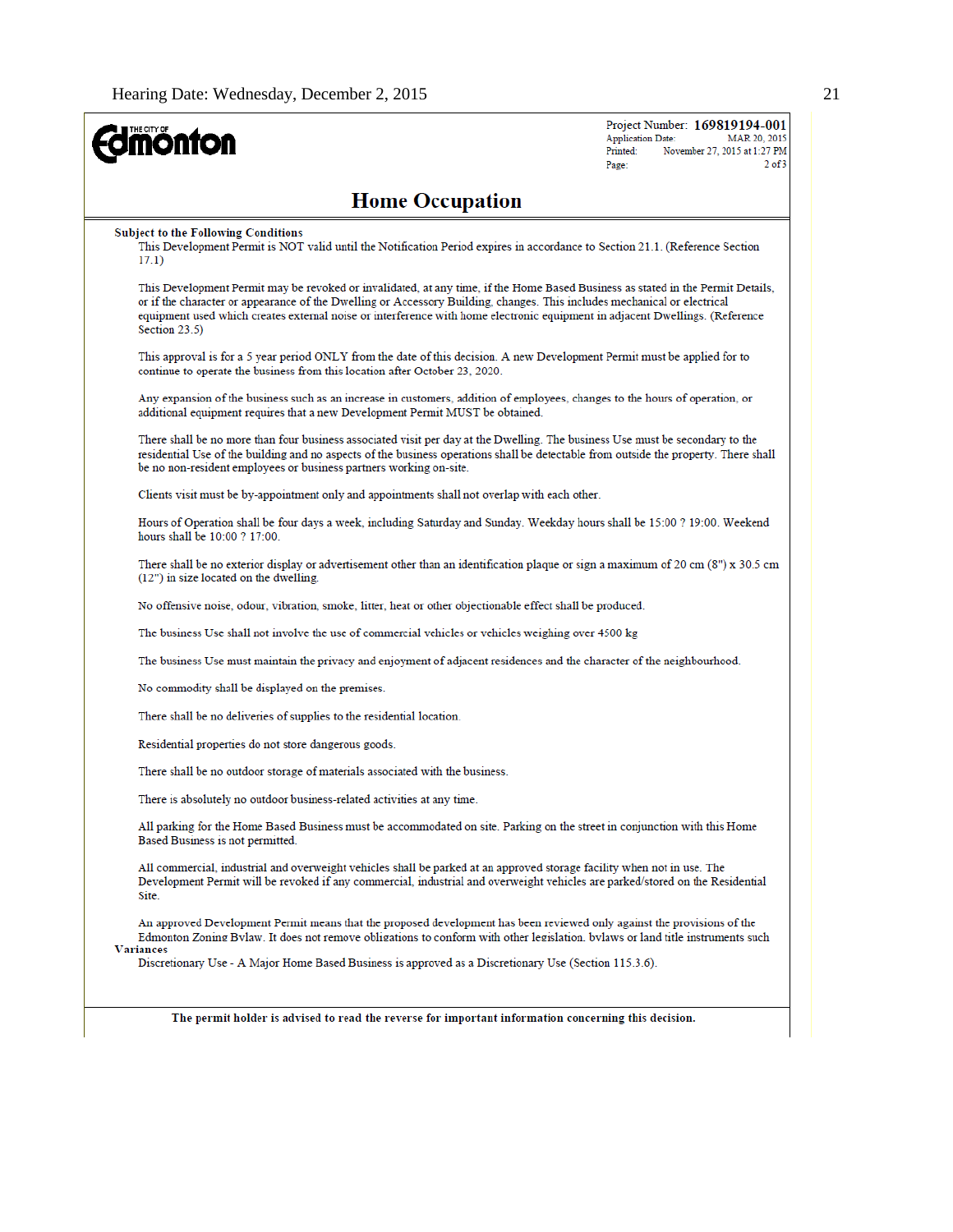| <b><i><u>monton</u></i></b>                                                                                                                                                                                                                                                                                                                                                                                  | Project Number: 169819194-001<br><b>Application Date:</b><br>MAR 20, 2015<br>November 27, 2015 at 1:27 PM<br>Printed:<br>$2$ of $3$<br>Page: |
|--------------------------------------------------------------------------------------------------------------------------------------------------------------------------------------------------------------------------------------------------------------------------------------------------------------------------------------------------------------------------------------------------------------|----------------------------------------------------------------------------------------------------------------------------------------------|
| <b>Home Occupation</b>                                                                                                                                                                                                                                                                                                                                                                                       |                                                                                                                                              |
| <b>Subject to the Following Conditions</b><br>This Development Permit is NOT valid until the Notification Period expires in accordance to Section 21.1. (Reference Section<br>17.1)                                                                                                                                                                                                                          |                                                                                                                                              |
| This Development Permit may be revoked or invalidated, at any time, if the Home Based Business as stated in the Permit Details,<br>or if the character or appearance of the Dwelling or Accessory Building, changes. This includes mechanical or electrical<br>equipment used which creates external noise or interference with home electronic equipment in adjacent Dwellings. (Reference<br>Section 23.5) |                                                                                                                                              |
| This approval is for a 5 year period ONLY from the date of this decision. A new Development Permit must be applied for to<br>continue to operate the business from this location after October 23, 2020.                                                                                                                                                                                                     |                                                                                                                                              |
| Any expansion of the business such as an increase in customers, addition of employees, changes to the hours of operation, or<br>additional equipment requires that a new Development Permit MUST be obtained.                                                                                                                                                                                                |                                                                                                                                              |
| There shall be no more than four business associated visit per day at the Dwelling. The business Use must be secondary to the<br>residential Use of the building and no aspects of the business operations shall be detectable from outside the property. There shall<br>be no non-resident employees or business partners working on-site.                                                                  |                                                                                                                                              |
| Clients visit must be by-appointment only and appointments shall not overlap with each other.                                                                                                                                                                                                                                                                                                                |                                                                                                                                              |
| Hours of Operation shall be four days a week, including Saturday and Sunday. Weekday hours shall be 15:00 ? 19:00. Weekend<br>hours shall be 10:00 ? 17:00.                                                                                                                                                                                                                                                  |                                                                                                                                              |
| There shall be no exterior display or advertisement other than an identification plaque or sign a maximum of 20 cm (8") x 30.5 cm<br>(12") in size located on the dwelling.                                                                                                                                                                                                                                  |                                                                                                                                              |
| No offensive noise, odour, vibration, smoke, litter, heat or other objectionable effect shall be produced.                                                                                                                                                                                                                                                                                                   |                                                                                                                                              |
| The business Use shall not involve the use of commercial vehicles or vehicles weighing over 4500 kg                                                                                                                                                                                                                                                                                                          |                                                                                                                                              |
| The business Use must maintain the privacy and enjoyment of adjacent residences and the character of the neighbourhood.                                                                                                                                                                                                                                                                                      |                                                                                                                                              |
| No commodity shall be displayed on the premises.                                                                                                                                                                                                                                                                                                                                                             |                                                                                                                                              |
| There shall be no deliveries of supplies to the residential location.                                                                                                                                                                                                                                                                                                                                        |                                                                                                                                              |
| Residential properties do not store dangerous goods.                                                                                                                                                                                                                                                                                                                                                         |                                                                                                                                              |
| There shall be no outdoor storage of materials associated with the business.                                                                                                                                                                                                                                                                                                                                 |                                                                                                                                              |
| There is absolutely no outdoor business-related activities at any time.                                                                                                                                                                                                                                                                                                                                      |                                                                                                                                              |
| All parking for the Home Based Business must be accommodated on site. Parking on the street in conjunction with this Home<br>Based Business is not permitted.                                                                                                                                                                                                                                                |                                                                                                                                              |
| All commercial, industrial and overweight vehicles shall be parked at an approved storage facility when not in use. The<br>Development Permit will be revoked if any commercial, industrial and overweight vehicles are parked/stored on the Residential<br>Site.                                                                                                                                            |                                                                                                                                              |
| An approved Development Permit means that the proposed development has been reviewed only against the provisions of the<br>Edmonton Zoning Bylaw. It does not remove obligations to conform with other legislation. bylaws or land title instruments such<br><b>Variances</b>                                                                                                                                |                                                                                                                                              |
| Discretionary Use - A Major Home Based Business is approved as a Discretionary Use (Section 115.3.6).                                                                                                                                                                                                                                                                                                        |                                                                                                                                              |
| The permit holder is advised to read the reverse for important information concerning this decision.                                                                                                                                                                                                                                                                                                         |                                                                                                                                              |
|                                                                                                                                                                                                                                                                                                                                                                                                              |                                                                                                                                              |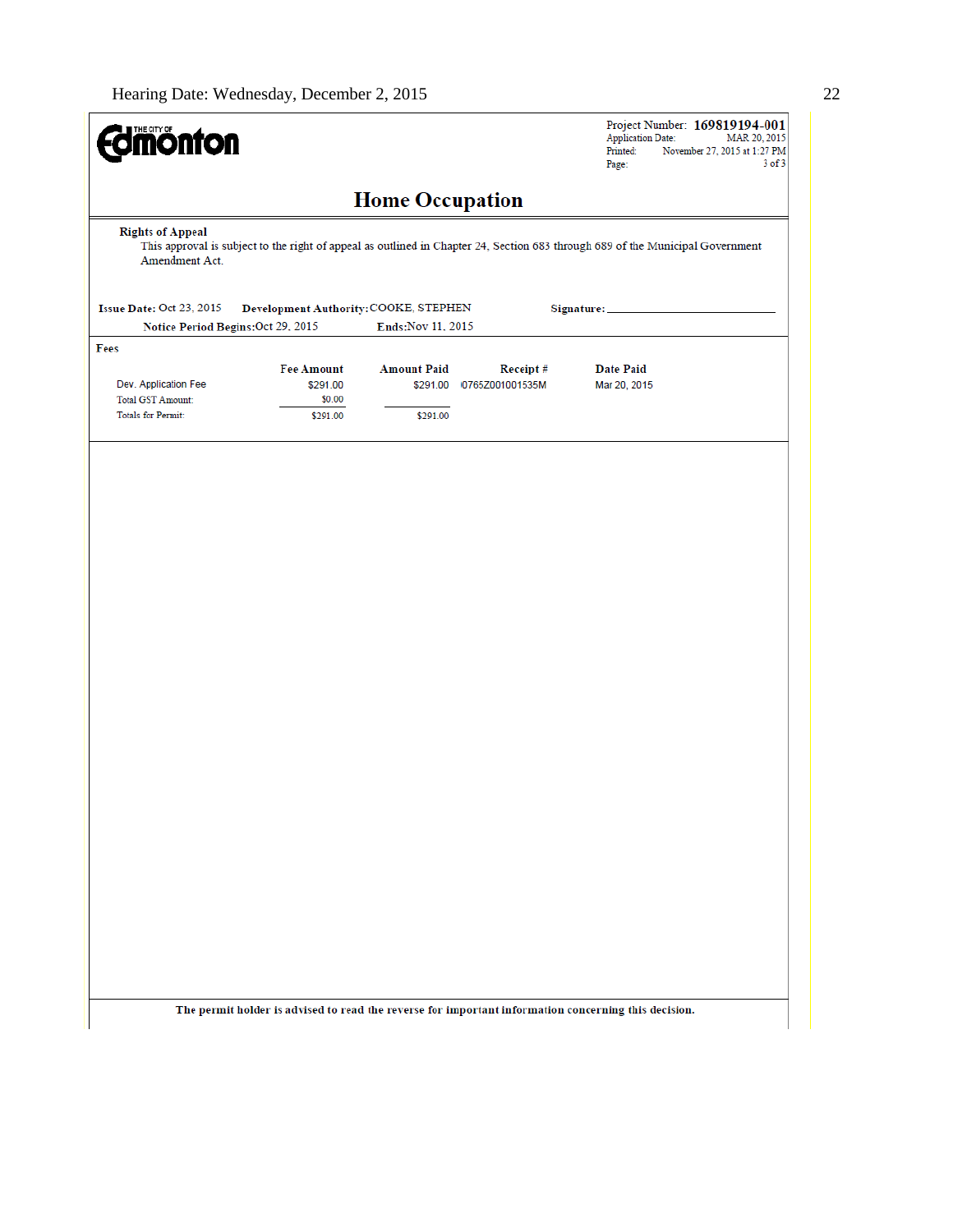| <b>dimonton</b>                            |                                       |                        |                          | Project Number: 169819194-001<br><b>Application Date:</b>                                                                      | MAR 20, 2015 |
|--------------------------------------------|---------------------------------------|------------------------|--------------------------|--------------------------------------------------------------------------------------------------------------------------------|--------------|
|                                            |                                       |                        |                          | Printed:<br>November 27, 2015 at 1:27 PM<br>Page:                                                                              | $3$ of $3$   |
|                                            |                                       | <b>Home Occupation</b> |                          |                                                                                                                                |              |
| <b>Rights of Appeal</b>                    |                                       |                        |                          |                                                                                                                                |              |
| Amendment Act.                             |                                       |                        |                          | This approval is subject to the right of appeal as outlined in Chapter 24, Section 683 through 689 of the Municipal Government |              |
| Issue Date: Oct 23, 2015                   | Development Authority: COOKE, STEPHEN |                        |                          | Signature: __                                                                                                                  |              |
| Notice Period Begins: Oct 29, 2015<br>Fees |                                       | Ends: Nov 11, 2015     |                          |                                                                                                                                |              |
|                                            | <b>Fee Amount</b>                     | <b>Amount Paid</b>     | Receipt#                 | Date Paid                                                                                                                      |              |
| Dev. Application Fee                       | \$291.00                              |                        | \$291.00 0765Z001001535M | Mar 20, 2015                                                                                                                   |              |
| <b>Total GST Amount:</b>                   | \$0.00                                |                        |                          |                                                                                                                                |              |
| <b>Totals for Permit:</b>                  | \$291.00                              | \$291.00               |                          |                                                                                                                                |              |
|                                            |                                       |                        |                          |                                                                                                                                |              |
|                                            |                                       |                        |                          | The permit holder is advised to read the reverse for important information concerning this decision.                           |              |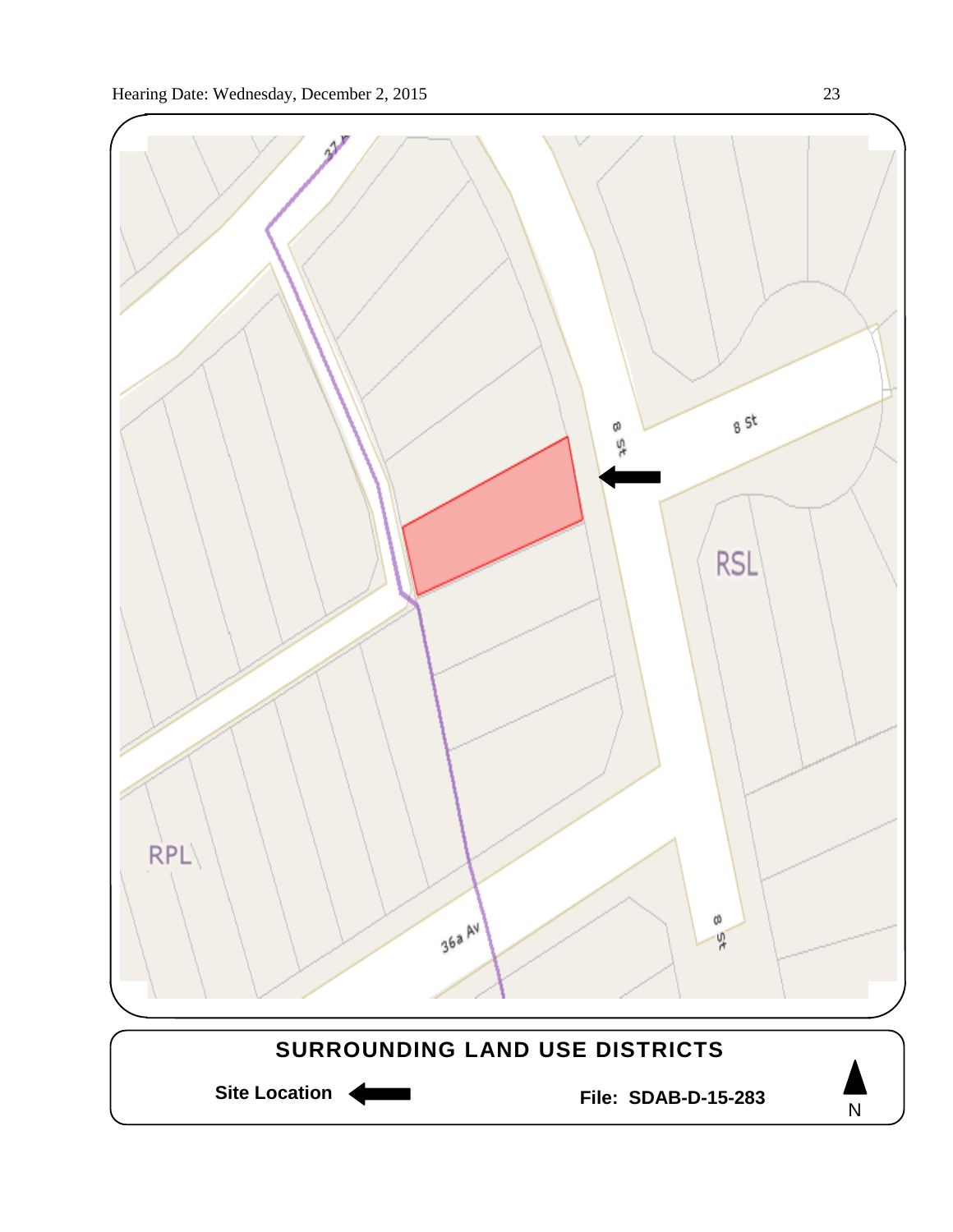